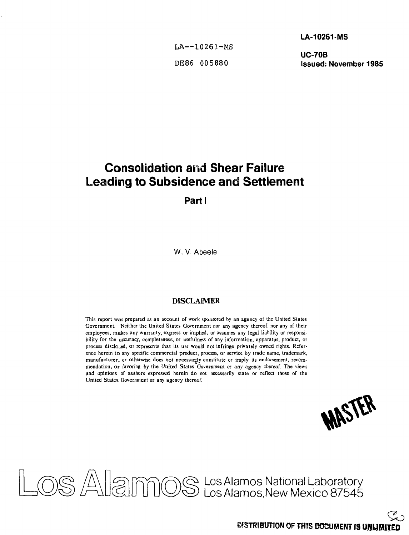LA-10261-MS

**LA—10261-MS**

**UC-70B DE86 005880 Issued: November 1985**

# **Consolidation and Shear Failure Leading to Subsidence and Settlement**

**Parti**

W. V. Abeele

### **DISCLAIMER**

This report was prepared as an account of work sponsored by an agency of the United States Government. Neither the United States Government nor any agency thereof, nor any of their employees, makes any warranty, express or implied, or assumes any legal liability or responsibility for the accuracy, completeness, or usefulness of any information, apparatus, product, or process disclojed, or represents that its use would not infringe privately owned rights. Reference herein to any specific commercial product, process, or service by trade name, trademark, manufacturer, or otherwise does not necessarily constitute or imply its endorsement, recommendation, or favoring by the United States Government or any agency thereof. The views and opinions of authors expressed herein do not necessarily state or reflect those of the United States Government or any agency thereof.



Los Alamos National Laboratory Los Alamos.New Mexico 87545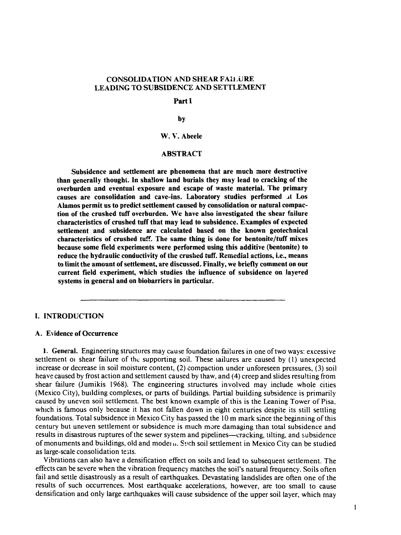### **CONSOLIDATION AND SHEAR FAILURE LEADING TO SUBSIDENCE AND SETTLEMENT**

#### **Parti**

#### **by**

### **W. V. Abeele**

#### **ABSTRACT**

**Subsidence and settlement are phenomena that are much more destructive than generally thought. In shallow land burials they may lead to cracking of the overburden and eventual exposure and escape of waste material. The primary causes are consolidation and cave-ins. Laboratory studies performed at Los Alamos permit us to predict settlement caused by consolidation or natural compaction of the crushed tuff overburden. We have also investigated the shear failure characteristics of crushed tuff that may lead to subsidence. Examples of expected settlement and subsidence are calculated based on the known geotechnical characteristics of crushed tuff. The same thing is done for bentonite/tuff mixes because some field experiments were performed using this additive (bentonite) to reduce the hydraulic conductivity of the crushed tuff. Remedial actions, i.e., means to limit the amount of settlement, are discussed. Finally, we briefly comment on our current field experiment, which studies the influence of subsidence on layered systems in general and on biobarriers in particular.**

#### **I. INTRODUCTION**

#### **A. Evidence of Occurrence**

**1.** General. Engineering structures may cause foundation failures in one of two ways: excessive settlement or shear failure of the supporting soil. These railures are caused by (1) unexpected increase or decrease in soil moisture content, (2) compaction under unforeseen pressures, (3) soil heave caused by frost action and settlement caused by thaw, and (4) creep and slides resulting from shear failure (Jumikis 1968). The engineering structures involved may include whole cities (Mexico City), building complexes, or parts of buildings. Partial building subsidence is primarily caused by uneven soil settlement. The best known example of this is the Leaning Tower of Pisa, which is famous only because it has not fallen down in eight centuries despite its still settling foundations. Total subsidence in Mexico City has passed the 10 m mark since the beginning of this century but uneven settlement or subsidence is much more damaging than total subsidence and results in disastrous ruptures of the sewer system and pipelines—cracking, tilting, and subsidence of monuments and buildings, old and modern. Such soil settlement in Mexico City can be studied as large-scale consolidation tests.

Vibrations can also have a densification effect on soils and lead to subsequent settlement. The effects can be severe when the vibration frequency matches the soil's natural frequency. Soils often fail and settle disastrously as a result of earthquakes. Devastating landslides are often one of the results of such occurrences. Most earthquake accelerations, however, are too small to cause densification and only large earthquakes will cause subsidence of the upper soil layer, which may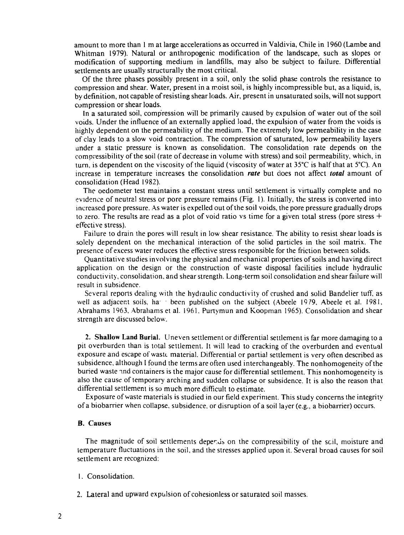amount to more than 1 m at large accelerations as occurred in Valdivia, Chile in 1960 (Lambe and Whitman 1979). Natural or anthropogenic modification of the landscape, such as slopes or modification of supporting medium in landfills, may also be subject to failure. Differential settlements are usually structurally the most critical.

Of the three phases possibly present in a soil, only the solid phase controls the resistance to compression and shear. Water, present in a moist soil, is highly incompressible but, as a liquid, is, by definition, not capable of resisting shear loads. Air, present in unsaturated soils, will not support compression or shear loads.

In a saturated soil, compression will be primarily caused by expulsion of water out of the soil voids. Under the influence of an externally applied load, the expulsion of water from the voids is highly dependent on the permeability of the medium. The extremely low permeability in the case of clay leads to a slow void contraction. The compression of saturated, low permeability layers under a static pressure is known as consolidation. The consolidation rate depends on the compressibility of the soil (rate of decrease in volume with stress) and soil permeability, which, in turn, is dependent on the viscosity of the liquid (viscosity of water at  $35^{\circ}$ C is half that at  $5^{\circ}$ C). An increase in temperature increases the consolidation *rate* but does not affect *total* amount of consolidation (Head 1982).

The oedometer test maintains a constant stress until settlement is virtually complete and no evidence of neutral stress or pore pressure remains (Fig. 1). Initially, the stress is converted into increased pore pressure. As water is expelled out of the soil voids, the pore pressure gradually drops to zero. The results are read as a plot of void ratio vs time for a given total stress (pore stress  $+$ effective stress).

Failure to drain the pores will result in low shear resistance. The ability to resist shear loads is solely dependent on the mechanical interaction of the solid particles in the soil matrix. The presence of excess water reduces the effective stress responsible for the friction between solids.

Quantitative studies involving the physical and mechanical properties of soils and having direct application on the design or the construction of waste disposal facilities include hydraulic conductivity, consolidation, and shear strength. Long-term soil consolidation and shear failure will result in subsidence.

Several reports dealing with the hydraulic conductivity of crushed and solid Bandelier tuff, as well as adjacent soils, hat been published on the subject (Abeele 1979, Abeele et al. 1981, Abrahams 1963, Abrahams et al. 1961. Purtymun and Koopman 1965). Consolidation and shear strength are discussed below.

2. Shallow Land Burial. Uneven settlement or differential settlement is far more damaging to a pit overburden than is total settlement. It will lead to cracking of the overburden and eventual exposure and escape of waste material. Differential or partial settlement is very often described as subsidence, although I found the terms are often used interchangeably. The nonhomogeneity of the buried waste ind containers is the major cause for differential settlement. This nonhomogeneity is also the cause of temporary arching and sudden collapse or subsidence. It is also the reason that differential settlement is so much more difficult to estimate.

Exposure of waste materials is studied in our field experiment. This study concerns the integrity of a biobarrier when collapse, subsidence, or disruption of a soil layer (e.g., a biobarrier) occurs.

#### B. Causes

The magnitude of soil settlements deperds on the compressibility of the scil, moisture and temperature fluctuations in the soil, and the stresses applied upon it. Several broad causes for soil settlement are recognized:

- 1. Consolidation.
- 2. Lateral and upward expulsion of cohesionless or saturated soil masses.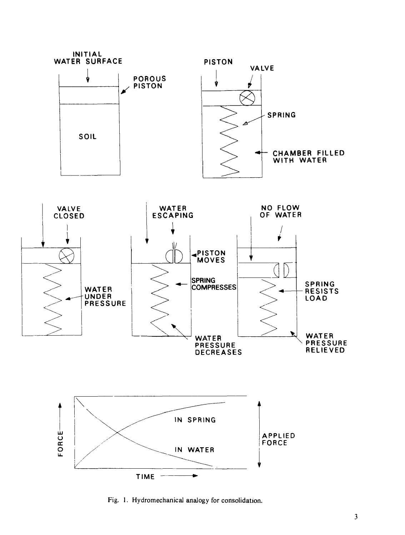

Fig. 1. Hydromechanical analogy for consolidation.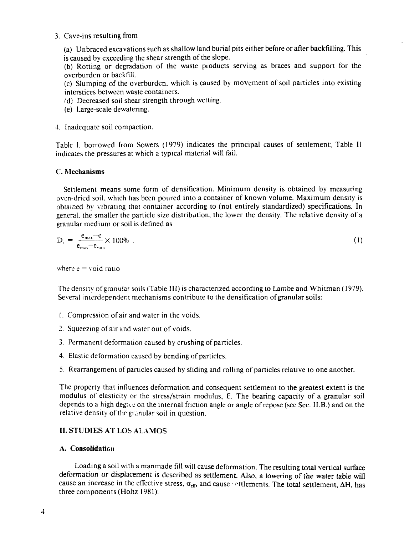#### 3. Cave-ins resulting from

(a) Unbraced excavations such as shallow land burial pits either before or after backfilling. This is caused by exceeding the shear strength of the slope.

(b) Rotting or degradation of the waste pioducts serving as braces and support for the overburden or backfill.

(c) Slumping of the overburden, which is caused by movement of soil particles into existing interstices between waste containers.

(d) Decreased soil shear strength through wetting.

(e) Large-scale dewatenng.

### 4. Inadequate soil compaction.

Table I, borrowed from Sowers (1979) indicates the principal causes of settlement; Table II indicates the pressures at which a typical material will fail.

### C. Mechanisms

Settlement means some form of densification. Minimum density is obtained by measuring oven-dried soil, which has been poured into a container of known volume. Maximum density is obtained by vibrating that container according to (not entirely standardized) specifications. In general, the smaller the panicle size distribution, the lower the density. The relative density of a granular medium or soil is defined as

$$
D_r = \frac{e_{\text{max}} - e}{e_{\text{max}} - e_{\text{min}}} \times 100\%
$$
 (1)

where  $e =$  void ratio

The density of granular soiis (Table III) is characterized according to Lambeand Whitman (1979). Several interdependent mechanisms contribute to the densification of granular soils:

- 1. Compression of air and water in the voids.
- 2. Squeezing of air and water out of voids.
- 3. Permanent deformation caused by crushing of particles.
- 4. Elastic deformation caused by bending of particles.
- 5. Rearrangement of particles caused by sliding and rolling of particles relative to one another.

The property that influences deformation and consequent settlement to the greatest extent is the modulus of elasticity or the stress/strain modulus, E. The bearing capacity of a granular soil depends to a high degive on the internal friction angle or angle of repose (see Sec. II.B.) and on the relative density of the granular soil in question.

### II. STUDIES AT LOS ALAMOS

### A. Consolidation

Loading a soil with a manmade fill will cause deformation. The resulting total vertical surface deformation or displacement is described as settlement. Also, a lowering of the water table will cause an increase in the effective stress,  $\sigma_{eff}$ , and cause of the ments. The total settlement,  $\Delta H$ , has three components (Holtz 1981):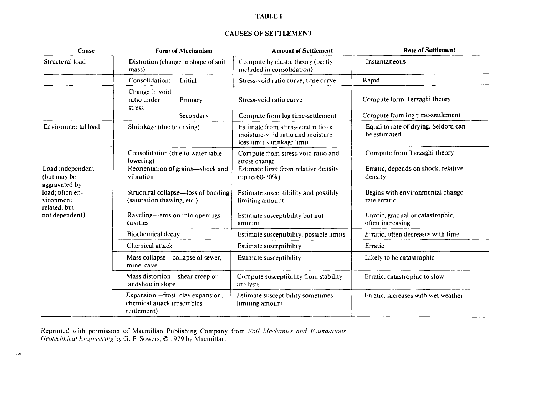### **TABLE I**

### CAUSES OF **SETTLEMENT**

| Cause                                                         | Form of Mechanism                                                                                | <b>Amount of Settlement</b>                                                                                            | <b>Rate of Settlement</b>                                                      |
|---------------------------------------------------------------|--------------------------------------------------------------------------------------------------|------------------------------------------------------------------------------------------------------------------------|--------------------------------------------------------------------------------|
| Structural load                                               | Distortion (change in shape of soil<br>mass)                                                     | Compute by elastic theory (partly<br>included in consolidation)                                                        | Instantaneous                                                                  |
|                                                               | Consolidation:<br>Initial                                                                        | Stress-void ratio curve, time curve                                                                                    | Rapid                                                                          |
|                                                               | Change in void<br>ratio under<br>Primary<br>stress<br>Secondary                                  | Stress-void ratio curve<br>Compute from log time-settlement                                                            | Compute form Terzaghi theory<br>Compute from log time-settlement               |
|                                                               |                                                                                                  |                                                                                                                        |                                                                                |
| Environmental load                                            | Shrinkage (due to drying)                                                                        | Estimate from stress-void ratio or<br>moisture- $v \nightharpoonup d$ ratio and moisture<br>loss limit surinkage limit | Equal to rate of drying. Seldom can<br>be estimated                            |
| Load independent<br>(but may be                               | Consolidation (due to water table<br>lowering)<br>Reorientation of grains-shock and<br>vibration | Compute from stress-void ratio and<br>stress change<br>Estimate limit from relative density<br>$up to 60-70%$          | Compute from Terzaghi theory<br>Erratic, depends on shock, relative<br>density |
| aggravated by<br>load; often en-<br>vironment<br>related, but | Structural collapse—loss of bonding<br>(saturation thawing, etc.)                                | Estimate susceptibility and possibly<br>limiting amount                                                                | Begins with environmental change,<br>rate erratic                              |
| not dependent)                                                | Raveling—erosion into openings,<br>cavities                                                      | Estimate susceptibility but not<br>amount                                                                              | Erratic, gradual or catastrophic,<br>often increasing                          |
|                                                               | Biochemical decay                                                                                | Estimate susceptibility, possible limits                                                                               | Erratic, often decreases with time                                             |
|                                                               | Chemical attack                                                                                  | Estimate susceptibility                                                                                                | Erratic                                                                        |
|                                                               | Mass collapse—collapse of sewer,<br>mine, cave                                                   | Estimate susceptibility                                                                                                | Likely to be catastrophic                                                      |
|                                                               | Mass distortion-shear-creep or<br>landslide in slope                                             | Compute susceptibility from stability<br>analysis                                                                      | Erratic, catastrophic to slow                                                  |
|                                                               | Expansion—frost, clay expansion,<br>chemical attack (resembles<br>settlement)                    | Estimate susceptibility sometimes<br>limiting amount                                                                   | Erratic, increases with wet weather                                            |

Reprinted with permission of Macmillan Publishing Company from *Soil Mechanics and Foundations: Geotechnical Engineering* by G. F. Sowers, © 1979 by Macmillan.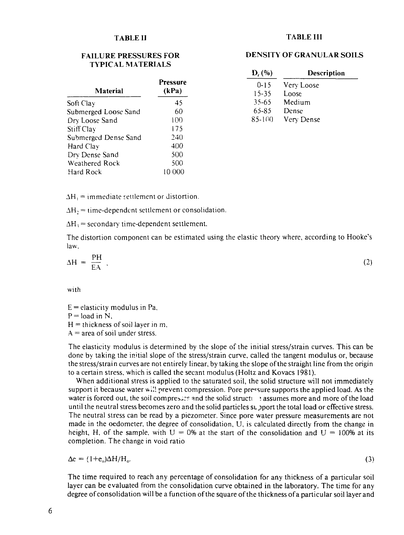#### **TABLE II**

#### **FAILURE PRESSURES FOR TYPICAL MATERIALS**

| Pressure<br>(kPa) |
|-------------------|
| 45                |
| 60                |
| 100               |
| 175               |
| 240               |
| 400               |
| 500               |
| 500               |
| 10.000            |
|                   |

### **TA3LE III**

#### **DENSITY OF GRANULAR SOILS**

| $D_r$ (%) | Description |
|-----------|-------------|
| $0 - 15$  | Very Loose  |
| $15 - 35$ | Loose       |
| 35-65     | Medium      |
| 65-85     | Dense       |
| 85-100    | Very Dense  |

 $\Delta H_i$  = immediate settlement or distortion.

 $\Delta H_2$  = time-dependent settlement or consolidation.

 $\Delta H$ <sub>3</sub> = secondary time-dependent settlement.

The distortion component can be estimated using the elastic theory where, according to Hooke's law.

$$
\Delta H = \frac{PH}{EA} \tag{2}
$$

with

 $E =$  elasticity modulus in Pa,  $P =$ load in N,

 $H =$  thickness of soil layer in m,

 $A$  = area of soil under stress.

The elasticity modulus is determined by the slope of the initial stress/strain curves. This can be done by taking the initial slope of the stress/strain curve, called the tangent modulus or, because the stress/strain curves are not entirely linear, by taking the slope of the straight line from the origin to a certain stress, which is called the secant modulus (Holtz and Kovacs 1981).

When additional stress is applied to the saturated soil, the solid structure will not immediately support it because water wil! prevent compression. Pore pre<sup>c</sup> sure supports the applied load. As the water is forced out, the soil compresses and the solid structies assumes more and more of the load until the neutral stress becomes zero and the solid particles support the total load or effective stress. The neutral stress can be read by a piezometer. Since pore water pressure measurements are not made in the oedometer, the degree of consolidation, U, is calculated directly from the change in height, H, of the sample, with  $U = 0\%$  at the start of the consolidation and  $U = 100\%$  at its completion. The change in void ratio

$$
\Delta e = (1 + e_0) \Delta H / H_o. \tag{3}
$$

The time required to reach any percentage of consolidation for any thickness of a particular soil layer can be evaluated from the consolidation curve obtained in the laboratory. The time for any degree of consolidation will be a function of the square of the thickness of a particular soil layer and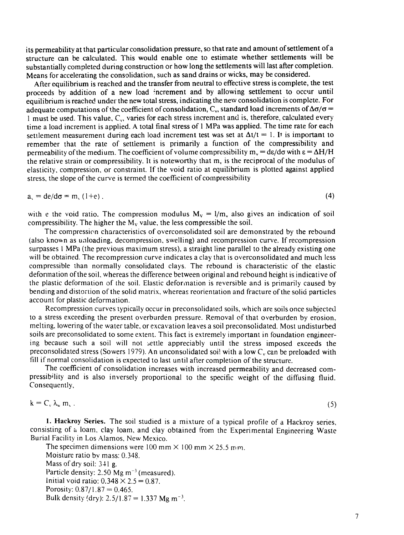its permeability at that particular consolidation pressure, so that rate and amount of settlement of a structure can be calculated. This would enable one to estimate whether settlements will be substantially completed during construction or how long the settlements will last after completion. Means for accelerating the consolidation, such as sand drains or wicks, may be considered.

After equilibrium is reached and the transfer from neutral to effective stress is complete, the test proceeds by addition of a new load increment and by allowing settlement to occur until equilibrium is reached under the new total stress, indicating the new consolidation is complete. For adequate computations of the coefficient of consolidation, C<sub>v</sub>, standard load increments of  $\Delta\sigma/\sigma$  =  $1$  must be used. This value,  $C_v$ , varies for each stress increment and is, therefore, calculated every time a load increment is applied. A total final stress of 1 MPa was applied. The time rate for each settlement measurement during each load increment test was set at  $\Delta t/t = 1$ . It is important to remember that the rate of settlement is primarily a function of the compressibility and permeability of the medium. The coefficient of volume compressibility  $m_v = \frac{de}{d\sigma}$  with  $\epsilon = \Delta H/H$ the relative strain or compressibility. It is noteworthy that  $m<sub>v</sub>$  is the reciprocal of the modulus of elasticity, compression, or constraint. If the void ratio at equilibrium is plotted against applied stress, the slope of the curve is termed the coefficient of compressibility

 $a_1 = de/d\sigma = m$ , (1+e). (4)

with e the void ratio. The compression modulus  $M_v = 1/m_v$  also gives an indication of soil compressibility. The higher the  $M_v$  value, the less compressible the soil.

The compression characteristics of overconsolidated soil are demonstrated by the rebound (also known as unloading, decompression, swelling) and recompression curve. If recompression surpasses 1 MPa (the previous maximum stress), a straight line parallel to the already existing one will be obtained. The recompression curve indicates a clay that is overconsolidated and much less compressible than normally consolidated clays. The rebound is characteristic of the elastic deformation of the soil, whereas the difference between original and rebound height is indicative of the plastic deformation of the soil. Elastic deformation is reversible and is primarily caused by bending and distortion of the solid matrix, whereas reorientation and fracture of the solid particles account for plastic deformation.

Recompression curves typically occur in preconsolidated soils, which are soils once subjected to a stress exceeding the present overburden pressure. Removal of that overburden by erosion, melting, lowering of the water table, or excavation leaves a soil preconsolidated. Most undisturbed soils are preconsolidated to some extent. This fact is extremely important in foundation engineering because such a soil will not settle appreciably until the stress imposed exceeds the preconsolidated stress (Sowers 1979). An unconsolidated soil with a low  $C_v$  can be preloaded with Fill if normal consolidation is expected to last until after completion of the structure.

The coefficient of consolidation increases with increased permeability and decreased compressibility and is also inversely proportional to the specific weight of the diffusing fluid. Consequently,

 $k = C_v \lambda_w m_v$  . (5)

1. Hackroy Series. The soil studied is a mixture of a typical profile of a Hackroy series, consisting of a loam, clay loam, and clay obtained from the Experimental Engineering Waste Burial Facility in Los Alamos, New Mexico.

The specimen dimensions were 100 mm  $\times$  100 mm  $\times$  25.5 mm. Moisture ratio by mass: 0.348. Mass of dry soil: 341 g. Particle density: 2.50  $Mg$  m<sup>-3</sup> (measured). Initial void ratio:  $0.348 \times 2.5 = 0.87$ . Porosity:  $0.87/1.87 = 0.465$ . Bulk density (dry):  $2.5/1.87 = 1.337$  Mg m<sup>-3</sup>.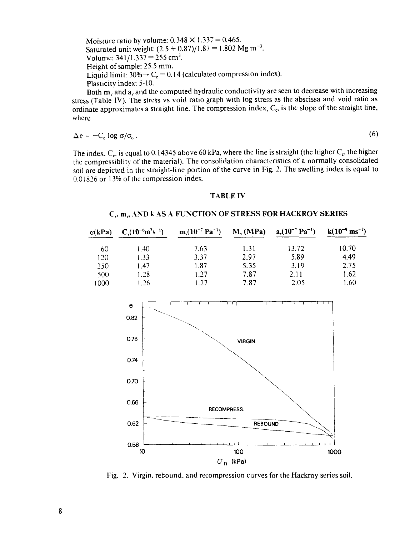Moisture ratio by volume:  $0.348 \times 1.337 = 0.465$ . Saturated unit weight:  $(2.5 + 0.87)/1.87 = 1.802$  Mg m<sup>-3</sup>. Volume:  $341/1.337 = 255$  cm<sup>3</sup>. Height of sample: 25.5 mm. Liquid limit:  $30\% \rightarrow C_c = 0.14$  (calculated compression index). Plasticity index: 5-10.

Both  $m<sub>v</sub>$  and  $a<sub>v</sub>$  and the computed hydraulic conductivity are seen to decrease with increasing stress (Table IV). The stress vs void ratio graph with log stress as the abscissa and void ratio as ordinate approximates a straight line. The compression index,  $C<sub>c</sub>$ , is the slope of the straight line, where

$$
\Delta e = -C_c \log \sigma / \sigma_o \tag{6}
$$

The index,  $C_c$ , is equal to 0.14345 above 60 kPa, where the line is straight (the higher  $C_c$ , the higher the compressiblity of the material). The consolidation characteristics of a normally consolidated soil are depicted in the straight-line portion of the curve in Fig. 2. The swelling index is equal to 0.01826 or 13% of the compression index.

#### **TABLE IV**

#### **Cv, mv, AND k AS A FUNCTION OF STRESS FOR HACKROY SERIES**

| $\sigma(kPa)$ | $C_{v}(10^{-6}m^{2}s^{-1})$ | $m_v(10^{-7} Pa^{-1})$ | $M_{v}$ (MPa) | $a_v(10^{-7} Pa^{-1})$ | $k(10^{-9} \text{ ms}^{-1})$ |
|---------------|-----------------------------|------------------------|---------------|------------------------|------------------------------|
| 60            | 1.40                        | 7.63                   | 1.31          | 13.72                  | 10.70                        |
| 120           | 1.33                        | 3.37                   | 2.97          | 5.89                   | 4.49                         |
| 250           | 1.47                        | 1.87                   | 5.35          | 3.19                   | 2.75                         |
| 500           | 1.28                        | 1.27                   | 7.87          | 2.11                   | 1.62                         |
| 1000          | 1.26                        | 1 27                   | 7.87          | 2.05                   | 1.60                         |



Fig. 2. Virgin, rebound, and recompression curves for the Hackroy series soil.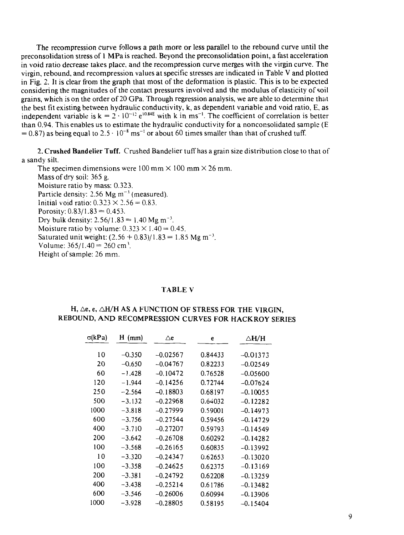The recompression curve follows a path more or less parallel to the rebound curve until the preconsolidation stress of 1 MPa is reached. Beyond the preconsolidation point, a fast acceleration in void ratio decrease takes place, and the recompression curve merges with the virgin curve. The virgin, rebound, and recompression values at specific stresses are indicated in Table V and plotted in Fig. 2. It is clear from the graph that most of the deformation is plastic. This is to be expected considering the magnitudes of the contact pressures involved and the modulus of elasticity of soil grains, which is on the order of 20 GPa. Through regression analysis, we are able to determine that the best fit existing between hydraulic conductivity, k, as dependent variable and void ratio, E, as independent variable is  $k = 2 \cdot 10^{-12} e^{10.84E}$  with k in ms<sup>-1</sup>. The coefficient of correlation is better than 0.94. This enables us to estimate the hydraulic conductivity for a nonconsolidated sample (E  $= 0.87$ ) as being equal to 2.5  $\cdot$  10<sup>-8</sup> ms<sup>-1</sup> or about 60 times smaller than that of crushed tuff.

2. Crushed Bandelier Tuff. Crushed Bandelier tuff has a grain size distribution close to that of a sandy silt.

The specimen dimensions were  $100 \text{ mm} \times 100 \text{ mm} \times 26 \text{ mm}$ . Mass of dry soil: 365 g. Moisture ratio by mass: 0.323. Particle density: 2.56 Mg  $m^{-3}$  (measured). Initial void ratio:  $0.323 \times 2.56 = 0.83$ . Porosity:  $0.83/1.83 = 0.453$ . Dry bulk density:  $2.56/1.83 = 1.40$  Mg m<sup>-3</sup>. Moisture ratio by volume:  $0.323 \times 1.40 = 0.45$ . Saturated unit weight:  $(2.56 + 0.83)/1.83 = 1.85$  Mg m<sup>-3</sup>. Volume:  $365/1.40 = 260$  cm<sup>3</sup>. Height of sample: 26 mm.

#### TABLE V

### H,  $\Delta$ e, e,  $\Delta$ H/H AS A FUNCTION OF STRESS FOR THE VIRGIN, REBOUND, AND RECOMPRESSION CURVES FOR HACKROY SERIES

| $\sigma(kPa)$ | H (mm)   | ∆e         | e       | ∆Н/Н       |
|---------------|----------|------------|---------|------------|
|               |          |            |         |            |
| 10            | $-0.350$ | $-0.02567$ | 0.84433 | $-0.01373$ |
| 20            | -0.650   | $-0.04767$ | 0.82233 | $-0.02549$ |
| 60            | $-1.428$ | $-0.10472$ | 0.76528 | $-0.05600$ |
| 120           | $-1.944$ | $-0.14256$ | 0.72744 | $-0.07624$ |
| 250           | $-2.564$ | $-0.18803$ | 0.68197 | $-0.10055$ |
| 500           | $-3.132$ | $-0.22968$ | 0.64032 | $-0.12282$ |
| 1000          | $-3.818$ | $-0.27999$ | 0.59001 | $-0.14973$ |
| 600           | $-3.756$ | $-0.27544$ | 0.59456 | -0.14729   |
| 400           | $-3.710$ | $-0.27207$ | 0.59793 | $-0.14549$ |
| 200           | $-3.642$ | $-0.26708$ | 0.60292 | $-0.14282$ |
| 100           | $-3.568$ | $-0.26165$ | 0.60835 | $-0.13992$ |
| 10            | $-3.320$ | $-0.24347$ | 0.62653 | $-0.13020$ |
| 100           | $-3.358$ | $-0.24625$ | 0.62375 | $-0.13169$ |
| 200           | $-3.381$ | $-0.24792$ | 0.62208 | $-0.13259$ |
| 400           | $-3.438$ | $-0.25214$ | 0.61786 | $-0.13482$ |
| 600           | $-3.546$ | $-0.26006$ | 0.60994 | -0.13906   |
| 1000          | $-3.928$ | $-0.28805$ | 0.58195 | $-0.15404$ |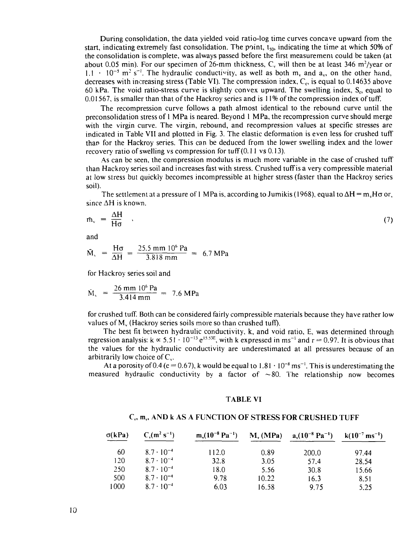During consolidation, the data yielded void ratio-log time curves concave upward from the start, indicating extremely fast consolidation. The point,  $t_{50}$ , indicating the time at which 50% of the consolidation is complete, was always passed before the first measuremeni could be taken (at about 0.05 min). For our specimen of 26-mm thickness,  $C_v$  will then be at least 346 m<sup>2</sup>/year or  $1.1 \cdot 10^{-5}$  m<sup>2</sup> s<sup>-1</sup>. The hydraulic conductivity, as well as both m<sub>v</sub> and a<sub>v</sub>, on the other hand, decreases with increasing stress (Table VI). The compression index,  $C_c$ , is equal to 0.14635 above 60 kPa. The void ratio-stress curve is slightly convex upward. The swelling index,  $S<sub>c</sub>$ , equal to 0.01567, is smaller than that of the Hackroy series and is 11% of the compression index of tuff.

The recompression curve follows a path almost identical to the rebound curve until the preconsolidation stress of 1 MPa is neared. Beyond 1 MPa, the recompression curve should merge with the virgin curve. The virgin, rebound, and recompression values at specific stresses are indicated in Table VII and plotted in Fig. 3. The elastic deformation is even less for crushed tuff than for the Hackroy series. This can be deduced from the lower swelling index and the lower recovery ratio of swelling vs compression for tuff (0.11 vs 0.13).

As can be seen, the compression modulus is much more variable in the case of crushed tuff than Hackroy series soil and increases fast with stress. Crushed tuff is a very compressible material at low stress but quickly becomes incompressible at higher stress (faster than the Hackroy series soil).

The settlement at a pressure of 1 MPa is, according to Jumikis (1968), equal to  $\Delta H = m_v H \sigma$  or, since  $\Delta H$  is known.

$$
\bar{m}_v = \frac{\Delta H}{H\sigma} \quad , \tag{7}
$$

and

$$
\bar{M}_{\rm v} = \frac{H\sigma}{\Delta H} = \frac{25.5 \text{ mm } 10^6 \text{ Pa}}{3.818 \text{ mm}} = 6.7 \text{ MPa}
$$

for Hackroy series soil and

$$
\dot{M}_{\rm v} = \frac{26 \text{ mm } 10^6 \text{ Pa}}{3.414 \text{ mm}} = 7.6 \text{ MPa}
$$

for crushed tuff. Both can be considered fairly compressible materials because they have rather low values of  $M_{v}$  (Hackroy series soils more so than crushed tuff).

The best fit between hydraulic conductivity, k, and void ratio, E, was determined through regression analysis:  $k \propto 5.51 \cdot 10^{-13} e^{15.53E}$ , with k expressed in ms<sup>-1</sup> and r = 0.97. It is obvious that the values for the hydraulic conductivity are underestimated at all pressures because of an arbitrarily low choice of  $C_v$ .

At a porosity of 0.4 (e = 0.67), k would be equal to  $1.81 \cdot 10^{-8}$  ms<sup>-1</sup>. This is underestimating the measured hydraulic conductivity by a factor of  $\sim 80$ . The relationship now becomes

#### TABLE VI

#### C,, m,, AND k AS A FUNCTION OF STRESS FOR CRUSHED TUFF

| $\sigma(kPa)$ | $C_{v}(m^{2} s^{-1})$ | $m_v(10^{-8} Pa^{-1})$ | $M_{v}$ (MPa) | $a_v(10^{-8} Pa^{-1})$ | $k(10^{-7} \text{ ms}^{-1})$ |
|---------------|-----------------------|------------------------|---------------|------------------------|------------------------------|
| 60            | $8.7 \cdot 10^{-4}$   | 112.0                  | 0.89          | 200.0                  | 9744                         |
| 120           | $8.7 \cdot 10^{-4}$   | 32.8                   | 3.05          | 57.4                   | 28.54                        |
| 250           | $8.7 \cdot 10^{-4}$   | 18.0                   | 5.56          | 30.8                   | 15.66                        |
| 500           | $8.7 \cdot 10^{-4}$   | 9.78                   | 10.22         | 16.3                   | 8.51                         |
| 1000          | $8.7 \cdot 10^{-4}$   | 6.03                   | 16.58         | 9.75                   | 5.25                         |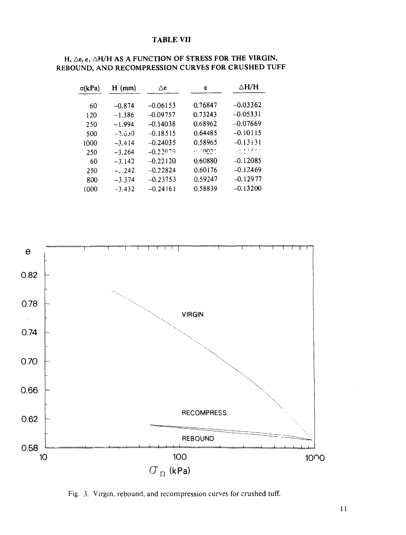#### **TABLE VII**

| $\sigma(kPa)$ | $H$ (mm) | Λe         | e       | ∆H/H                                                                              |
|---------------|----------|------------|---------|-----------------------------------------------------------------------------------|
|               |          |            |         |                                                                                   |
| 60            | $-0.874$ | $-0.06153$ | 0.76847 | $-0.03362$                                                                        |
| 120           | $-1.386$ | $-0.09757$ | 0.73243 | $-0.05331$                                                                        |
| 250           | $-1.994$ | $-0.14038$ | 0.68962 | $-0.07669$                                                                        |
| 500           | $-2.630$ | $-0.18515$ | 0.64485 | $-0.10115$                                                                        |
| 1000          | $-3,414$ | $-0.24035$ | 0.58965 | $-0.13131$                                                                        |
| 250           | $-3.264$ | $-0.22079$ | . 002.  | $\mathcal{L}^{\text{max}}_{\text{max}}$ , $\mathcal{L}^{\text{max}}_{\text{max}}$ |
| 60            | $-3.142$ | $-0.22120$ | 0.60880 | $-0.12085$                                                                        |
| 250           | $-.242$  | $-0.22824$ | 0.60176 | $-0.12469$                                                                        |
| 800           | $-3.374$ | $-0.23753$ | 0.59247 | $-0.12977$                                                                        |
| 1000          | $-3.432$ | $-0.24161$ | 0.58839 | $-0.13200$                                                                        |

### H,  $\Delta$ e, e,  $\Delta$ H/H AS A FUNCTION OF STRESS FOR THE VIRGIN, **REBOUND, AND RECOMPRESSION CURVES FOR CRUSHED TUFF**



Fig. 3. Virgin, rebound, and recompression curves for crushed tuff.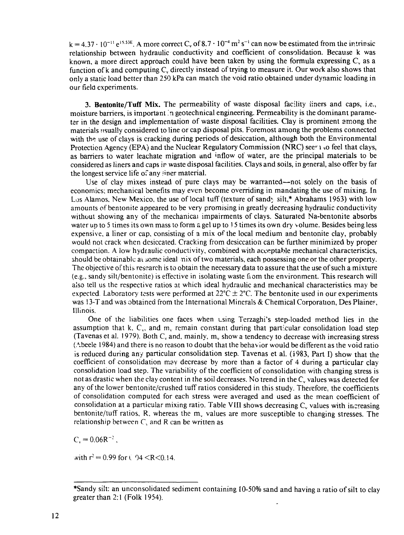$k = 4.37 \cdot 10^{-11} e^{15.53E}$ . A more correct C<sub>v</sub> of 8.7  $\cdot 10^{-4}$  m<sup>2</sup> s<sup>-1</sup> can now be estimated from the intrinsic relationship between hydraulic conductivity and coefficient of consolidation. Because k was known, a more direct approach could have been taken by using the formula expressing  $C<sub>s</sub>$  as a function of k and computing  $C<sub>v</sub>$  directly instead of trying to measure it. Our work also shows that only a static load better than 250 kPa can match the void ratio obtained under dynamic loading in our field experiments.

3. **Bentonite/Tuff Mix.** The permeability of waste disposal facility iiners and caps, i.e., moisture barriers, is important .'n geotechnical engineering. Permeability is the dominant parameter in the design and implementation of waste disposal facilities. Clay is prominent among the materials usually considered to line or cap disposal pits. Foremost among the problems connected with the use of clays is cracking during periods of desiccation, although both the Environmental Protection Agency (EPA) and the Nuclear Regulatory Commission (NRC) seem to feel that clays, as barriers to water leachate migration and inflow of water, are the principal materials to be considered as liners and caps ir waste disposal facilities. Clays and soils, in general, also offer by far the longest service life of any liner material.

Use of clay mixes instead of pure clays may be warranted—not solely on the basis of economics; mechanical benefits may even become overriding in mandating the use of mixing. In Los Alamos, New Mexico, the use of local tuff (texture of sandy silt,\* Abrahams 1963) with low amounts of bentonite appeared to be very promising in greatly decreasing hydraulic conductivity without showing any of the mechanical impairments of clays. Saturated Na-bentonite absorbs water up to 5 times its own mass to form a gel up to 15 times its own dry volume. Besides being less expensive, a liner or cap, consisting of a mix of the local medium and bentonite clay, probably would not crack when desiccated. Cracking from desiccation can be further minimized by proper compaction. A low hydraulic conductivity, combined with acceptable mechanical characteristics, should be obtainable at some ideal nix of two materials, each possessing one or the other property. The objective of this research is to obtain the necessary data to assure that the use of such a mixture (e.g., sandy silt/bentonite) is effective in isolating waste from the environment. This research will also tell us the respective ratios at which ideal hydraulic and mechanical characteristics may be expected. Laboratory tests were performed at  $22^{\circ}$ C  $\pm$  2°C. The bentonite used in our experiments was 13-T and was obtained from the International Minerals & Chemical Corporation, Des Plainer, Illinois.

One of the liabilities one faces when using Terzaghi's step-loaded method lies in the assumption that k,  $C_v$ , and  $m_v$  remain constant during that particular consolidation load step (Tavenas et al. 1979). Both  $C_v$  and, mainly,  $m_v$  show a tendency to decrease with increasing stress (Abeele 1984) and there is no reason to doubt that the behavior would be different as the void ratio is reduced during any particular consolidation step. Tavenas et al. **(1983,** Part I) show that the coefficient of consolidation may decrease by more than a factor of 4 during a particular clay consolidation load step. The variability of the coefficient of consolidation with changing stress is not as drastic when the clay content in the soil decreases. No trend in the  $C<sub>v</sub>$  values was detected for any of the lower bentonite/crushed tuff ratios considered in this study. Therefore, the coefficients of consolidation computed for each stress were averaged and used as the mean coefficient of consolidation at a particular mixing ratio. Table VIII shows decreasing C<sub>v</sub> values with increasing bentonite/tuff ratios, R, whereas the  $m<sub>v</sub>$  values are more susceptible to changing stresses. The relationship between  $C<sub>s</sub>$  and R can be written as

 $C_v = 0.06R^{-2}$ ,

with  $r^2 = 0.99$  for  $\ell$  04 <R < 0.14.

<sup>•</sup>Sandy silt: an unconsolidated sediment containing 10-50% sand and having a ratio of silt to clay greater than 2:1 (Folk 1954).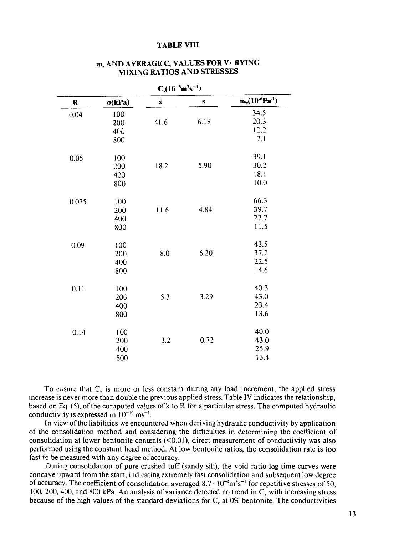#### TABLE VIII

| $C_v(16^{-8}m^2s^{-1})$ |                 |                    |      |                       |
|-------------------------|-----------------|--------------------|------|-----------------------|
| R                       | $\sigma(kPa)$   | $\bar{\mathbf{x}}$ | S    | $m_v(10^{-6}Pa^{-1})$ |
| 0.04                    | 100             |                    |      | 34.5                  |
|                         | 200             | 41.6               | 6.18 | 20.3                  |
|                         | 4(j)            |                    |      | 12.2                  |
|                         | 800             |                    |      | 7.1                   |
| 0.06                    | 100             |                    |      | 39.1                  |
|                         | 200             | 18.2               | 5.90 | 30.2                  |
|                         | 400             |                    |      | 18.1                  |
|                         | 800             |                    |      | 10.0                  |
| 0.075                   | 100             |                    |      | 66.3                  |
|                         | 200             | 11.6               | 4.84 | 39.7                  |
|                         | 400             |                    |      | 22.7                  |
|                         | 800             |                    |      | 11.5                  |
| 0.09                    | 100             |                    |      | 43.5                  |
|                         | 200             | 8.0                | 6.20 | 37.2                  |
|                         | 400             |                    |      | 22.5                  |
|                         | 800             |                    |      | 14.6                  |
| 0.11                    | 100             |                    |      | 40.3                  |
|                         | 20 <sub>0</sub> | 5.3                | 3.29 | 43.0                  |
|                         | 400             |                    |      | 23.4                  |
|                         | 800             |                    |      | 13.6                  |
| 0.14                    | 100             |                    |      | 40.0                  |
|                         | 200             | 3.2                | 0.72 | 43.0                  |
|                         | 400             |                    |      | 25.9                  |
|                         | 800             |                    |      | 13.4                  |

### m, AND AVERAGE C, VALUES FOR *\J* RYING MIXING RATIOS AND STRESSES

To ensure that  $C_v$  is more or less constant during any load increment, the applied stress increase is never more than double the previous applied stress. Table IV indicates the relationship, based on Eq. (5), of the computed values of k to R for a particular stress. The computed hydraulic conductivity is expressed in  $10^{-10}$  ms<sup>-1</sup>.

In view of the liabilities we encountered when deriving hydraulic conductivity by application of the consolidation method and considering the difficulties in determining the coefficient of consolidation at lower bentonite contents  $(<0.01$ ), direct measurement of conductivity was also performed using the constant head method. At low bentonite ratios, the consolidation rate is too fast *\*o* be measured with any degree of accuracy.

During consolidation of pure crushed tuff (sandy silt), the void ratio-log time curves were concave upward from the start, indicating extremely fast consolidation and subsequent low degree of accuracy. The coefficient of consolidation averaged  $8.7 \cdot 10^{-4} \text{m}^2 \text{s}^{-1}$  for repetitive stresses of 50, 100, 200, 400, and 800 kPa. An analysis of variance detected no trend in  $C<sub>v</sub>$  with increasing stress because of the high values of the standard deviations for  $C<sub>v</sub>$  at 0% bentonite. The conductivities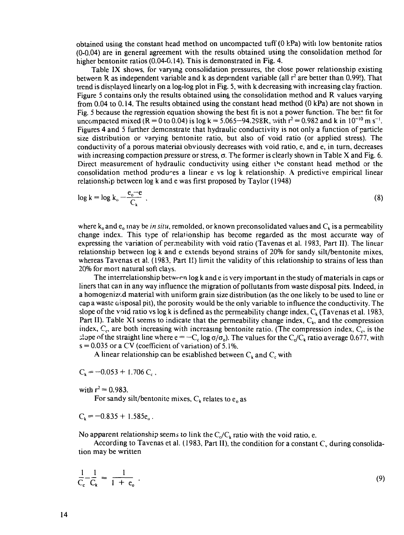obtained using the constant head method on uncompacted tuff (0 kPa) with low bentonite ratios (0-0.04) are in general agreement with the results obtained using the consolidation method for higher bentonite ratios (0.04-0.14). This is demonstrated in Fig. 4.

Table IX shows, for varying consolidation pressures, the close power relationship existing between R as independent variable and k as dependent variable (all  $r^2$  are better than 0.99!). That trend is displayed linearly on a log-log plot in Fig. 5, with k decreasing with increasing clay fraction. Figure 5 contains only the results obtained using the consolidation method and R values varying from 0.04 to 0.14. The results obtained using the constant head method (0 kPa) are not shown in Fig. 5 because the regression equation showing the best fit is not a power function. The best fit for uncompacted mixed (R = 0 to 0.04) is log k = 5.065-94.298R, with  $r^2 = 0.982$  and k in 10<sup>-10</sup> m s<sup>-1</sup>. Figures 4 and 5 further demonstrate that hydraulic conductivity is not only a function of particle size distribution or varying bentonite ratio, but also of void ratio (or applied stress). The conductivity of a porous material obviously decreases with void ratio, e, and e, in turn, decreases with increasing compaction pressure or stress,  $\sigma$ . The former is clearly shown in Table X and Fig. 6. Direct measurement of hydraulic conductivity using either the constant head method or the consolidation method produces a linear e vs log k relationship. A predictive empirical linear relationship between log k and e was first proposed by Taylor (1948)

$$
\log k = \log k_{\rm o} - \frac{e_{\rm o} - e}{C_k} \tag{8}
$$

where  $k_0$  and  $e_0$  may be *in situ*, remolded, or known preconsolidated values and  $C_k$  is a permeability change index. This type of relationship has become regarded as the most accurate way of expressing the variation of permeability with void ratio (Tavenas et al. 1983, Part II), The linear relationship between log k and e extends beyond strains of 20% for sandy silt/bentonite mixes, whereas Tavenas et al. (1983, Part II) limit the validity of this relationship to strains of less than 20% for most natural soft clays.

The interrelationship between log k and e is very important in the study of materials in caps or liners that can in any way influence the migration of pollutants from waste disposal pits. Indeed, in a homogenized material with uniform grain size distribution (as the one likely to be used to line or cap a waste  $\alpha$  isposal pit), the porosity would be the only variable to influence the conductivity. The slope of the void ratio vs log k is defined as the permeability change index,  $C_k$  (Tavenas et al. 1983, Part II). Table XI seems to indicate that the permeability change index,  $C_k$ , and the compression index,  $C_c$ , are both increasing with increasing bentonite ratio. (The compression index,  $C_c$ , is the  $\sigma$ ; slope of the straight line where  $e = -C_c \log \sigma / \sigma_0$ . The values for the  $C_c/C_k$  ratio average 0.677, with  $s = 0.035$  or a CV (coefficient of variation) of 5.1%.

A linear relationship can be established between  $C_k$  and  $C_c$  with

 $C_k = -0.053 + 1.706 C_c$ ,

with  $r^2 = 0.983$ .

For sandy silt/bentonite mixes,  $C_k$  relates to  $e_0$  as

$$
C_k = -0.835 + 1.585e_{\rm o}.
$$

No apparent relationship seems to link the  $C_c/C_k$  ratio with the void ratio, e.

According to Tavenas et al. (1983, Part II), the condition for a constant  $C_v$  during consolidation may be written

$$
\frac{1}{C_c} - \frac{1}{C_k} = \frac{1}{1 + e_0} \tag{9}
$$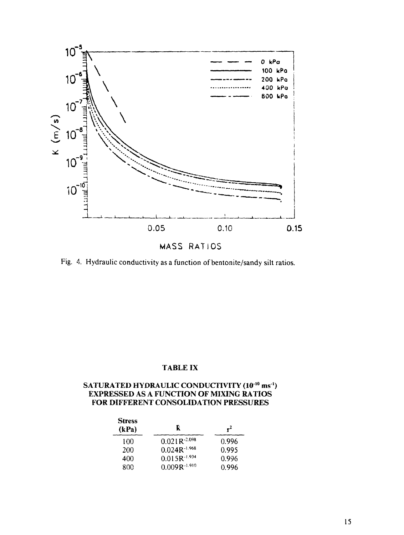

MASS RATIOS

Fig. 4. Hydraulic conductivity as a function of bentonite/sandy silt ratios.

### **TABLE IX**

### **SATURATED HYDRAULIC CONDUCTIVITY (10<sup>10</sup> ms ') EXPRESSED AS A FUNCTION OF MIXING RATIOS FOR DIFFERENT CONSOLIDATION PRESSURES**

| <b>Stress</b><br>(kPa) | F.                | $r^2$ |
|------------------------|-------------------|-------|
| 100                    | $0.021R-2.098$    | 0.996 |
| 200                    | $0.024R-1.968$    | 0.995 |
| 400                    | $0.015R^{-1.934}$ | 0.996 |
| 800                    | $0.009R^{-1.910}$ | 0.996 |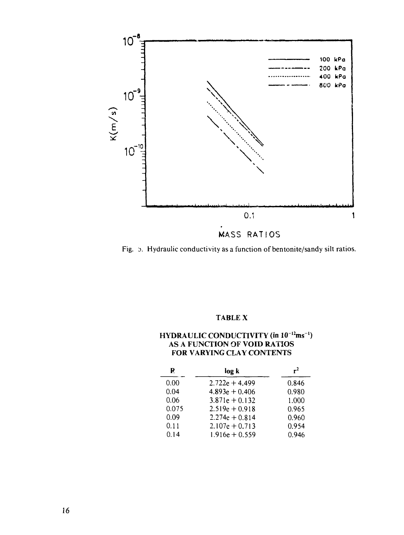

Fig. 5. Hydraulic conductivity as a function of bentonite/sandy silt ratios.

## **TABLE X**

### **HYDRAULIC CONDUCTIVITY (in**  $10^{-12}$ **ms<sup>-1</sup>) AS A FUNCTION OF VOID RATIOS FOR VARYING CLAY CONTENTS**

| R     | log k            | $r^2$ |
|-------|------------------|-------|
| 0.00  | $2.722e + 4.499$ | 0.846 |
| 0.04  | $4.893e + 0.406$ | 0.980 |
| 0.06  | $3.871e + 0.132$ | 1.000 |
| 0.075 | $2.519e + 0.918$ | 0.965 |
| 0.09  | $2.274e + 0.814$ | 0.960 |
| 0.11  | $2.107e + 0.713$ | 0.954 |
| 0.14  | $1.916e + 0.559$ | 0.946 |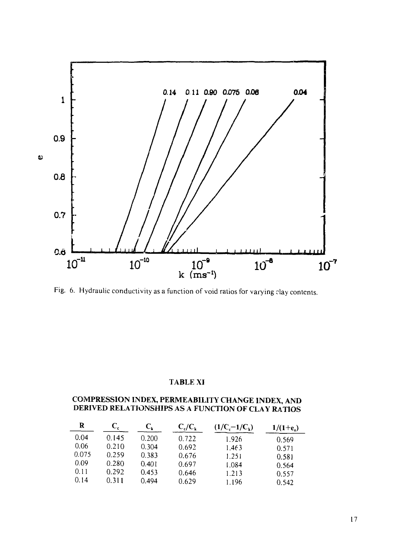

Fig. 6. Hydraulic conductivity as a function of void ratios for varying clay contents.

### **TABLE XI**

### **COMPRESSION INDEX, PERMEABILITY CHANGE INDEX, AND DERIVED RELATIONSHIPS AS A FUNCTION OF CLAY RATIOS**

| R     |       | C,    | $C_c/C_k$ | $(1/C-1/C_k)$ | $1/(1 + e_0)$ |
|-------|-------|-------|-----------|---------------|---------------|
| 0.04  | 0.145 | 0.200 | 0.722     | 1.926         | 0.569         |
| 0.06  | 0.210 | 0.304 | 0.692     | 1.463         | 0.571         |
| 0.075 | 0.259 | 0.383 | 0.676     | 1.251         | 0.581         |
| 0.09  | 0.280 | 0.401 | 0.697     | 1.084         | 0.564         |
| 0.11  | 0.292 | 0.453 | 0.646     | 1.213         | 0.557         |
| 0.14  | 0.311 | 0.494 | 0.629     | 1.196         | 0.542         |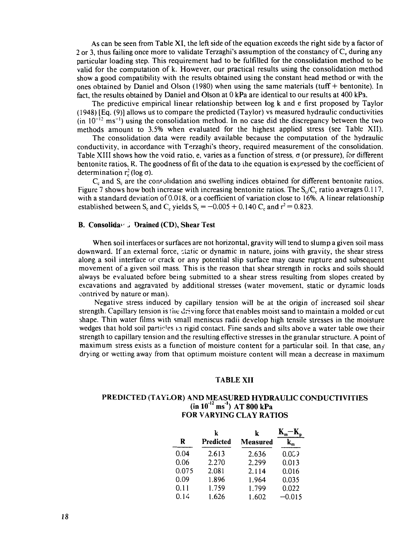As can be seen from Table XI, the left side of the equation exceeds the right side by a factor of 2 or 3, thus failing once more to validate Terzaghi's assumption of the constancy of  $C_v$  during any particular loading step. This requirement had to be fulfilled for the consolidation method to be valid for the computation of k. However, our practical results using the consolidation method show a good compatibility with the results obtained using the constant head method or with the ones obtained by Daniel and Olson (1980) when using the same materials (tuff  $+$  bentonite). In fact, the results obtained by Daniel and Olson at 0 kPa are identical to our results at 400 kPa.

The predictive empirical linear relationship between log k and e first proposed by Taylor (1948) [Eq. (9)] allows us to compare the predicted (Taylor) vs measured hydraulic conductivities  $(in 10^{-12} \text{ ms}^{-1})$  using the consolidation method. In no case did the discrepancy between the two methods amount to 3.5% when evaluated for the highest applied stress (see Table XII).

The consolidation data were readily available because the computation of the hydraulic conductivity, in accordance with Terzaghi's theory, required measurement of the consolidation. Table XIII shows how the void ratio, e, varies as a function of stress, *a* (or pressure), for different bentonite ratios, R. The goodness of fit of the data to the equation is expressed by the coefficient of determination  $r_c^2$  (log  $\sigma$ ).

 $C_c$  and  $S_c$  are the consolidation and swelling indices obtained for different bentonite ratios. Figure 7 shows how both increase with increasing bentonite ratios. The  $S_c/C_c$  ratio averages 0.117, with a standard deviation of 0.018, or a coefficient of variation close to 16%. A linear relationship established between S<sub>c</sub> and C<sub>c</sub> yields S<sub>c</sub> = -0.005 + 0.140 C<sub>c</sub> and  $r^2$  = 0.823.

#### **B. Consolida**<sup>*(a)*</sup> J Drained (CD), Shear Test

When soil interfaces or surfaces are not horizontal, gravity will tend to slump a given soil mass downward. If an external force, static or dynamic in nature, joins with gravity, the shear stress along a soil interface or crack or any potential slip surface may cause rupture and subsequent movement of a given soil mass. This is the reason that shear strength in rocks and soils should always be evaluated before being submitted to a shear stress resulting from slopes created by excavations and aggravated by additional stresses (water movement, static or dynamic loads contrived by nature or man).

Negative stress induced by capillary tension will be at the origin of increased soil shear strength. Capillary tension is the driving force that enables moist sand to maintain a molded or cut shape. Thin water films with small meniscus radii develop high tensile stresses in the moisture wedges that hold soil particles in rigid contact. Fine sands and silts above a water table owe their strength to capillary tension and the resulting effective stresses in the granular structure. A point of maximum stress exists as a function of moisture content for a particular soil. In that case, any drying or wetting away from that optimum moisture content will mean a decrease in maximum

#### **TABLE XII**

#### **PREDICTED (TAYLOR) AND MEASURED HYDRAULIC CONDUCTIVITIES (in 10**"" **ms"<sup>1</sup> ) AT 800 kPa FOR VARYING CLAY RATIOS**

|       | k         | k        |          |
|-------|-----------|----------|----------|
| R     | Predicted | Measured |          |
| 0.04  | 2.613     | 2.636    | 0.0C     |
| 0.06  | 2.270     | 2.299    | 0.013    |
| 0.075 | 2.081     | 2.114    | 0.016    |
| 0.09  | 1.896     | 1.964    | 0.035    |
| 0.11  | 1.759     | 1.799    | 0.022    |
| 0.14  | 1.626     | 1.602    | $-0.015$ |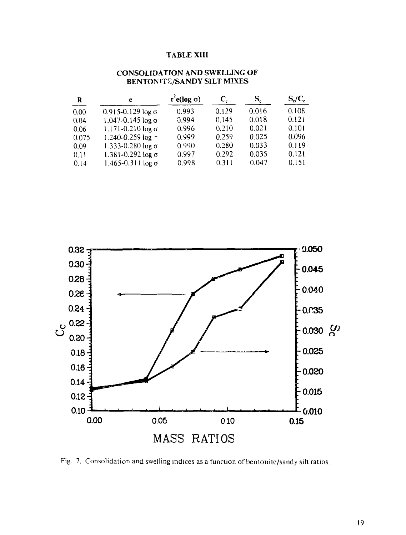### **TABLE XIII**

| R     | e                            | $r^2$ e(log $\sigma$ ) | $C_{c}$ | S,    | $S_c/C_c$ |
|-------|------------------------------|------------------------|---------|-------|-----------|
| 0.00  | $0.915 - 0.129$ log σ        | 0.993                  | 0.129   | 0.016 | 0.108     |
| 0.04  | 1.047-0.145 log σ            | 0.994                  | 0.145   | 0.018 | 0.121     |
| 0.06  | 1.171-0.210 log σ            | 0.996                  | 0.210   | 0.021 | 0.101     |
| 0.075 | 1.240-0.259 log $\sim$       | 0.999                  | 0.259   | 0.025 | 0.096     |
| 0.09  | $1.333 - 0.280 \log \sigma$  | 0.990                  | 0.280   | 0.033 | 0.119     |
| 0.11  | $1.381 - 0.292 \log \sigma$  | 0.997                  | 0.292   | 0.035 | 0.121     |
| 0.14  | $1.465 - 0.311$ log $\sigma$ | 0.998                  | 0.311   | 0.047 | 0.151     |

### **CONSOLIDATION AND SWELLING OF BENTONITE/SANDY SILT MIXES**

![](_page_19_Figure_3.jpeg)

Fig. 7. Consolidation and swelling indices as a function of bentonite/sandy silt ratios.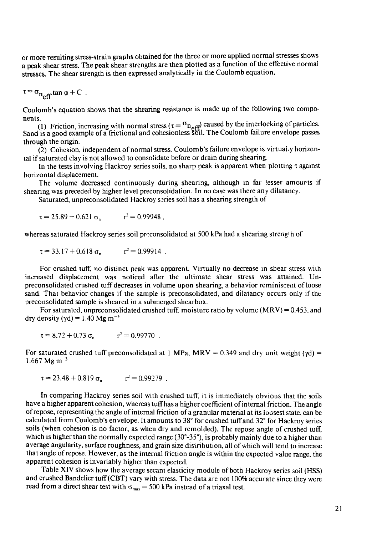or more resulting stress-strain graphs obtained for the three or more applied normal stresses shows a peak shear stress. The peak shear strengths are then plotted as a function of the effective normal stresses. The shear strength is then expressed analytically in the Coulomb equation,

$$
\tau = \sigma_{n_{\text{eff}}} \tan \varphi + C
$$

Coulomb's equation shows that the shearing resistance is made up of the following two components.

(1) Friction, increasing with normal stress ( $\tau = \sigma_{\text{net}}$ ) caused by the interlocking of particles. Sand is a good example of a frictional and cohesionless soil. The Coulomb failure envelope passes through the origin.

(2) Cohesion, independent of normal stress. Coulomb's failure envelope is virtual, y horizontal if saturated clay is not allowed to consolidate before or drain during shearing.

In the tests involving Hackroy series soils, no sharp peak is apparent when plotting t against horizontal displacement.

The volume decreased continuously during shearing, although in far lesser amourts if shearing was preceded by higher level preconsohdation. In no case was there any dilatancy.

Saturated, unpreconsolidated Hackroy series soil has a shearing strength of

 $\tau = 25.89 + 0.621 \sigma_n$   $r^2 = 0.99948$ ,

whereas saturated Hackroy series soil proconsolidated at 500 kPa had a shearing strength of

$$
\tau = 33.17 + 0.618 \sigma_n \qquad r^2 = 0.99914 \; .
$$

For crushed tuff, nc distinct peak was apparent. Virtually no decrease in shear stress wuh increased displacement was noticed after the ultimate shear stress was attained. Unpreconsolidated crushed tuff decreases in volume upon shearing, a behavior reminiscent of loose sand. That behavior changes if the sample is preconsolidated, and dilatancy occurs only if the preconsolidated sample is sheared in a submerged shearbox.

For saturated, unpreconsolidated crushed tuff, moisture ratio by volume  $(MRV) = 0.453$ , and dry density ( $\gamma$ d) = 1.40 Mg m<sup>-3</sup>

$$
\tau = 8.72 + 0.73 \sigma_n \qquad r^2 = 0.99770 \; .
$$

For saturated crushed tuff preconsolidated at 1 MPa, MRV = 0.349 and dry unit weight ( $yd$ ) =  $1.667$  Mg m<sup>-3</sup>

$$
\tau = 23.48 + 0.819 \sigma_n \qquad r^2 = 0.99279 \ .
$$

In comparing Hackroy series soil with crushed tuff, it is immediately obvious that the soils have a higher apparent cohesion, whereas tuff has a higher coefficient of internal friction. The angle of repose, representing the angle of internal friction of a granular material at its loosest state, can be calculated from Coulomb's envelope. It amounts to 38° for crushed tuff and 32° for Hackroy series soils (when cohesion is no factor, as when dry and remolded). The repose angle of crushed tuff, which is higher than the normally expected range (30°-35°), is probably mainly due to a higher than average angularity, surface roughness, and grain size distribution, all of which will tend to increase that angle of repose. However, as the internal friction angle is within the expected value range, the apparent cohesion is invariably higher than expected.

Table XIV shows how the average secant elasticity module of both Hackroy series soil (HSS) and crushed Bandelier tuff (CBT) vary with stress. The data are not 100% accurate since they were read from a direct shear test with  $\sigma_{\text{max}} = 500$  kPa instead of a triaxal test.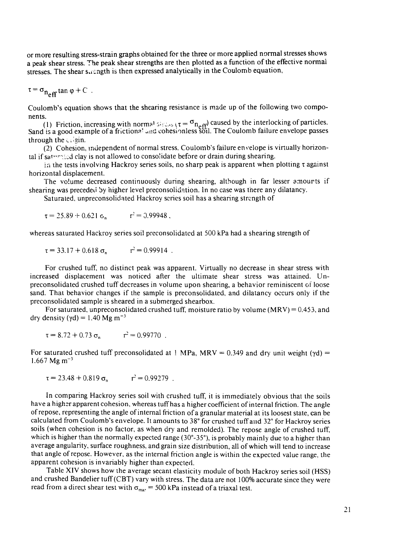or more resulting stress-strain graphs obtained for the three or more applied normal stresses shows a peak shear stress. The peak shear strengths are then plotted as a function of the effective normal stresses. The shear suchgth is then expressed analytically in the Coulomb equation,

$$
\tau = \sigma_{n_{\text{eff}}} \tan \varphi + C \enspace .
$$

Coulomb's equation shows that the shearing resistance is made up of the following two components.

(1) Friction, increasing with normal  $s \mapsto \{ \tau = \sigma_{n_{eff}} \}$  caused by the interlocking of particles. Sand is a good example of a frictional and cohesionless soil. The Coulomb failure envelope passes through the  $\triangle$  gin.

(2) Cohesion, independent of normal stress. Coulomb's failure envelope is virtually horizontal if saturated clay is not allowed to consolidate before or drain during shearing.

in the tests involving Hackroy series soils, no sharp peak is apparent when plotting  $\tau$  against horizontal displacement.

The volume decreased continuously during shearing, although in far lesser amourts if shearing was preceded by higher level preconsolidation. In no case was there any dilatancy.

Saturated, unpreconsolidated Hackroy scries soil has a shearing strength of

$$
\tau = 25.89 + 0.621 \, \text{c}_n \qquad \qquad \tau^2 = 0.99948 \, ,
$$

whereas saturated Hackroy series soil preconsolidated at 500 kPa had a shearing strength of

$$
\tau = 33.17 + 0.618 \sigma_n \qquad r^2 = 0.99914 \; .
$$

For crushed tuff, no distinct peak was apparent. Virtually no decrease in shear stress with increased displacement was noticed after the ultimate shear stress was attained. Unpreconsolidated crushed tuff decreases in volume upon shearing, a behavior reminiscent of loose sand. That behavior changes if the sample is preconsolidated, and dilatancy occurs only if the preconsolidated sample is sheared in a submerged shearbox.

For saturated, unpreconsolidated crushed tuff, moisture ratio by volume  $(MRV) = 0.453$ , and dry density ( $\gamma$ d) = 1.40 Mg m<sup>-3</sup>

$$
\tau = 8.72 + 0.73 \sigma_n \qquad r^2 = 0.99770 \; .
$$

For saturated crushed tuff preconsolidated at ! MPa, MRV = 0.349 and dry unit weight ( $\gamma d$ ) =  $1.667$  Mg m<sup>-3</sup>

 $\tau = 23.48 + 0.819 \sigma_{n}$   $r^2 = 0.99279$ .

In comparing Hackroy series soil with crushed tuff, it is immediately obvious that the soils have a higher apparent cohesion, whereas tuff has a higher coefficient of internal friction. The angle of repose, representing the angle of internal friction of a granular material at its loosest state, can be calculated from Coulomb's envelope. It amounts to 38° for crushed tuff and 32° for Hackroy series soils (when cohesion is no factor, as when dry and remolded). The repose angle of crushed tuff, which is higher than the normally expected range  $(30^{\circ}-35^{\circ})$ , is probably mainly due to a higher than average angularity, surface roughness, and grain size distribution, all of which will tend to increase that angle of repose. However, as the internal friction angle is within the expected value range, the apparent cohesion is invariably higher than expected.

Table XIV shows how the average secant elasticity module of both Hackroy series soil (HSS) and crushed Bandelier tuff (CBT) vary with stress. The data are not 100% accurate since they were read from a direct shear test with  $\sigma_{\text{max}} = 500$  kPa instead of a triaxal test.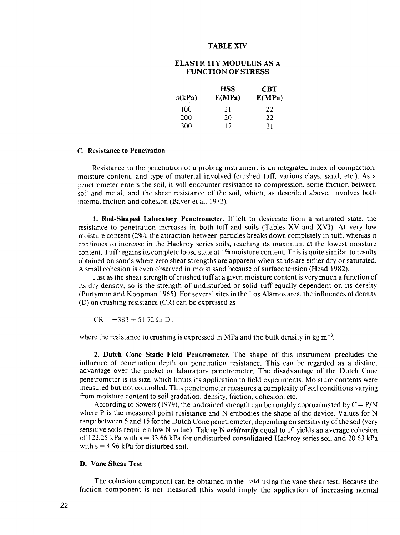### **TABLE XIV**

### **ELASTICITY MODULUS AS A FUNCTION OF STRESS**

|               | <b>HSS</b> | <b>CBT</b> |
|---------------|------------|------------|
| $\sigma(kPa)$ | E(MPa)     | E(MPa)     |
| 100           | 21         | フフ         |
| 200           | 20         | フフ         |
| 300           | 17         | 21         |

#### **C. Resistance to Penetration**

Resistance to the penetration of a probing instrument is an integrated index of compaction, moisture content and type of material involved (crushed tuff, various clays, sand, etc.). As a penetrometer enters the soil, it will encounter resistance to compression, some friction between soil and metal, and the shear resistance of the soil, which, as described above, involves both internal friction and cohesion (Baver et al. 1972).

**1. Rod-Shaped Laboratory Penetrometer.** If left to desiccate from a saturated state, the resistance to penetration increases in both tuff and soils (Tables XV and XVI). At very low moisture content (2%), the attraction between particles breaks down completely in tuff, whereas it continues to increase in the Hackroy series soils, reaching its maximum at the lowest moisture content. Tuff regains its complete loose state at 1 % moisture content. This is quite similar to results obtained on sands where zero shear strengths are apparent when sands are either dry or saturated. A small cohesion is even observed in moist sand because of surface tension (Head 1982).

Just as the shear strength of crushed tuff at a given moisture content is very much a function of its dry density, so is the strength of undisturbed or solid tuff equally dependent on its density (Purtymun and Koopman 1965). For several sites in the Los Alamos area, the influences of density (D) on crushing resistance (CR) can be expressed as

 $CR = -383 + 51.72$  kn D,

where the resistance to crushing is expressed in MPa and the bulk density in kg  $m^{-3}$ .

2. Dutch Cone Static Field Penetrometer. The shape of this instrument precludes the influence of penetration depth on penetration resistance. This can be regarded as a distinct advantage over the pocket or laboratory penetrometer. The disadvantage of the Dutch Cone penetrometer is its size, which limits its application to field experiments. Moisture contents were measured but not controlled. This penetrometer measures a complexity of soil conditions varying from moisture content to soil gradation, density, friction, cohesion, etc.

According to Sowers (1979), the undrained strength can be roughly approximated by  $C = P/N$ where P is the measured point resistance and N embodies the shape of the device. Values for N range between 5 and 15 for the Dutch Cone penetrometer, depending on sensitivity of the soil (very sensitive soils require a low N value). Taking N *arbitrarily* equal to 10 yields an average cohesion of 122.25 kPa with  $s = 33.66$  kPa for undisturbed consolidated Hackroy series soil and 20.63 kPa with  $s = 4.96$  kPa for disturbed soil.

#### **D. Vane Shear Test**

The cohesion component can be obtained in the *"-^W* using the vane shear test. Because the friction component is not measured (this would imply the application of increasing normal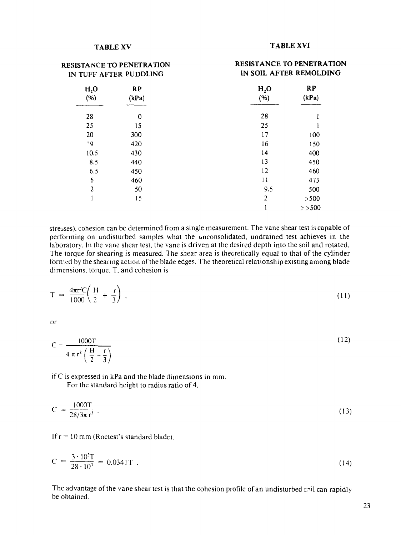**RESISTANCE TO PENETRATION**

### **TABLE XV TABLE XVI**

**RESISTANCE TO PENETRATION**

| IN TUFF AFTER PUDDLING                        |     | IN SOIL AFTER REMOLDING                       |          |
|-----------------------------------------------|-----|-----------------------------------------------|----------|
| H <sub>2</sub> O<br><b>RP</b><br>(%)<br>(kPa) |     | <b>RP</b><br>H <sub>2</sub> O<br>(kPa)<br>(%) |          |
| 28                                            | 0   | 28                                            |          |
| 25                                            | 15  | 25                                            |          |
| 20                                            | 300 | 17                                            | 100      |
| ۰9                                            | 420 | 16                                            | 150      |
| 10.5                                          | 430 | 14                                            | 400      |
| 8.5                                           | 440 | 13                                            | 450      |
| 6.5                                           | 450 | 12                                            | 460      |
| 6                                             | 460 | 11                                            | 475      |
| $\overline{2}$                                | 50  | 9.5                                           | 500      |
|                                               | 15  | $\overline{2}$                                | >500     |
|                                               |     |                                               | $>>$ 500 |

stresses), cohesion can be determined from a single measurement. The vane shear test is capable of performing on undisturbed samples what the unconsolidated, undrained test achieves in the laboratory. In the vane shear test, the vane is driven at the desired depth into the soil and rotated. The torque for shearing is measured. The shear area is theoretically equal to that of the cylinder formed by the shearing action of the blade edges. The theoretical relationship existing among blade dimensions, torque, T. and cohesion is

$$
T = \frac{4\pi r^2 C}{1000} \left( \frac{H}{2} + \frac{r}{3} \right) \tag{11}
$$

or

$$
C = \frac{1000T}{4 \pi r^2 \left(\frac{H}{2} + \frac{r}{3}\right)}
$$
 (12)

if C is expressed in kPa and the blade dimensions in mm. For the standard height to radius ratio of 4.

$$
C = \frac{1000T}{28/3\pi r^3} \tag{13}
$$

If  $r = 10$  mm (Roctest's standard blade).

$$
C = \frac{3 \cdot 10^3 T}{28 \cdot 10^3} = 0.0341 T \tag{14}
$$

The advantage of the vane shear test is that the cohesion profile of an undisturbed soil can rapidly be obtained.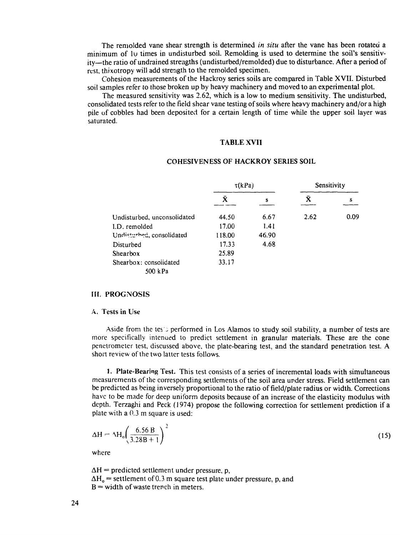The remolded vane shear strength is determined *in situ* after the vane has been rotated a minimum of lu times in undisturbed soil. Remolding is used to determine the soil's sensitivity—the ratio of undrained strengths (undisturbed/remolded) due to disturbance. After a period of rest, thixotropy will add strength to the remolded specimen.

Cohesion measurements of the Hackroy series soils are compared in Table XVII. Disturbed soil samples refer to those broken up by heavy machinery and moved to an experimental plot.

The measured sensitivity was 2.62, which is a low to medium sensitivity. The undisturbed, consolidated tests refer to the field shear vane testing of soils where heavy machinery and/or a high pile of cobbles had been deposited for a certain length of time while the upper soil layer was saturated.

#### TABLE XVII

|                             | $\tau(kPa)$ |       | Sensitivity |      |
|-----------------------------|-------------|-------|-------------|------|
|                             | Ā           | S     | Ā.          | s    |
| Undisturbed, unconsolidated | 44.50       | 6.67  | 2.62        | 0.09 |
| I.D. remolded               | 17.00       | 1.41  |             |      |
| Undisturbed, consolidated   | 118.00      | 46.90 |             |      |
| Disturbed                   | 17.33       | 4.68  |             |      |
| Shearbox                    | 25.89       |       |             |      |
| Shearbox: consolidated      | 33.17       |       |             |      |
| 500 kPa                     |             |       |             |      |

#### COHESIVENESS OF HACKROY SERIES SOIL

#### HI. PROGNOSIS

#### A. Tests in Use

Aside from the tes'.J performed in Los Alamos to study soil stability, a number of tests are more specifically intenued to predict settlement in granular materials. These are the cone penetrometer test, discussed above, the plate-bearing test, and the standard penetration test. A short review of the two latter tests follows.

1. Plate-Bearing Test. This test consists of a series of incremental loads with simultaneous measurements of the corresponding settlements of the soil area under stress. Field settlement can be predicted as being inversely proportional to the ratio of field/plate radius or width. Corrections have to be made for deep uniform deposits because of an increase of the elasticity modulus with depth. Terzaghi and Peck (1974) propose the following correction for settlement prediction if a plate with a 0.3 m square is used:

$$
\Delta H = \Delta H_o \left( \frac{6.56 \text{ B}}{3.28 \text{ B} + 1} \right)^2 \tag{15}
$$

where

 $\Delta H$  = predicted settlement under pressure, p,  $\Delta H_0$  = settlement of 0.3 m square test plate under pressure, p, and  $B =$  width of waste trench in meters.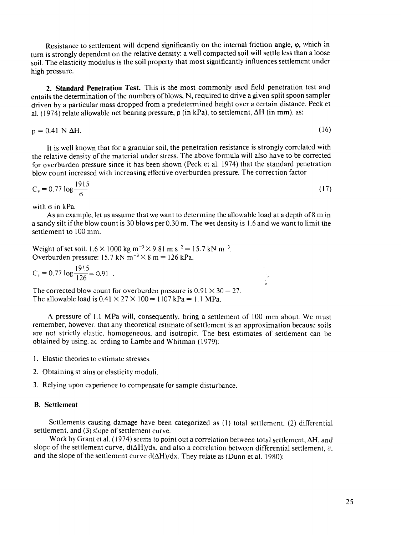Resistance to settlement will depend significantly on the internal friction angle,  $\varphi$ , which in turn is strongly dependent on the relative density: a well compacted soil will settle less than a loose soil. The elasticity modulus is the soil property that most significantly influences settlement under high pressure.

**2. Standard Penetration Test.** This is the most commonly used field penetration test and entails the determination of the numbers of blows, N, required to drive a given split spoon sampler driven by a particular mass dropped from a predetermined height over a certain distance. Peck et al. (1974) relate allowable net bearing pressure, p (in kPa), to settlement,  $\Delta H$  (in mm), as:

 $p = 0.41 \text{ N } \Delta H.$  (16)

It is well known that for a granular soil, the penetration resistance is strongly correlated with the relative density of the material under stress. The above formula will also have to be corrected for overburden pressure since it has been shown (Peck et al. 1974) that the standard penetration blow count increased with increasing effective overburden pressure. The correction factor

$$
C_{\rm F} = 0.77 \log \frac{1915}{\sigma} \tag{17}
$$

with  $\sigma$  in kPa.

As an example, let us assume that we want to determine the allowable load at a depth of 8 m in a sandy silt if the blow count is 30 blows per 0.30 m. The wet density is 1.6 and we want to limit the settlement to 100 mm.

Weight of set soil:  $1.6 \times 1000$  kg m<sup>-3</sup>  $\times$  9.81 m s<sup>-2</sup> = 15.7 kN m<sup>-3</sup>. Overburden pressure:  $15.7 \text{ kN m}^{-3} \times 8 \text{ m} = 126 \text{ kPa}.$ 

$$
C_F = 0.77 \log \frac{19!5}{126} = 0.91
$$

The corrected blow count for overburden pressure is  $0.91 \times 30 = 27$ . The allowable load is  $0.41 \times 27 \times 100 = 1107$  kPa = 1.1 MPa.

A pressure of 1.1 MPa will, consequently, bring a settlement of 100 mm about. We must remember, however, that any theoretical estimate of settlement is an approximation because soils are net strictly elastic, homogeneous, and isotropic. The best estimates of settlement can be obtained by using, ac ording to Lambe and Whitman (1979):

- 1. Elastic theories to estimate stresses.
- 2. Obtaining si ains or elasticity moduli.
- 3. Relying upon experience to compensate for sample disturbance.

#### B. **Settlement**

Settlements causing damage have been categorized as (1) total settlement, (2) differential settlement, and (3) slope of settlement curve.

Work by Grant et al. (1974) seems to point out a correlation between total settlement,  $\Delta H$ , and slope of the settlement curve,  $d(\Delta H)/dx$ , and also a correlation between differential settlement,  $\partial$ , and the slope of the settlement curve  $d(\Delta H)/dx$ . They relate as (Dunn et al. 1980):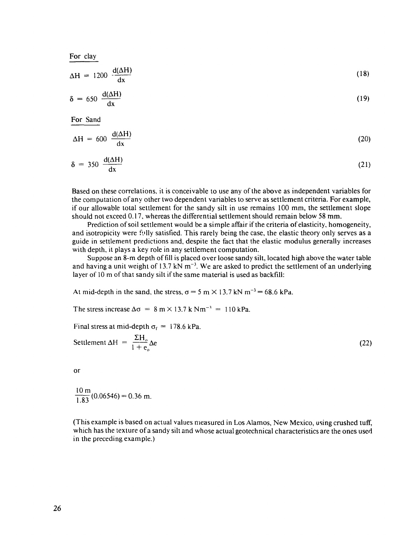| For clay                                 |      |
|------------------------------------------|------|
| $\Delta H = 1200 \frac{d(\Delta H)}{dx}$ | (18) |
| $\delta = 650 \frac{d(\Delta H)}{dx}$    | (19) |
| For Sand                                 |      |
| $\Delta H = 600 \frac{d(\Delta H)}{dx}$  | (20) |
| $\delta = 350 \frac{d(\Delta H)}{dx}$    | (21) |

Based on these correlations, it is conceivable to use any of the above as independent variables for the computation of any other two dependent variables to serve as settlement criteria. For example, if our allowable total settlement for the sandy silt in use remains 100 mm, the settlement slope should not exceed 0.17, whereas the differential settlement should remain below 58 mm.

Prediction of soil settlement would be a simple affair if the criteria of elasticity, homogeneity, and isotropicity were fully satisfied. This rarely being the case, the elastic theory only serves as a guide in settlement predictions and, despite the fact that the elastic modulus generally increases with depth, it plays a key role in any settlement computation.

Suppose an 8-m depth of fill is placed over loose sandy silt, located high above the water table and having a unit weight of 13.7 kN  $m^{-3}$ . We are asked to predict the settlement of an underlying layer of 10 m of that sandy silt if the same material is used as backfill:

At mid-depth in the sand, the stress,  $\sigma = 5$  m  $\times$  13.7 kN m<sup>-3</sup> = 68.6 kPa.

The stress increase  $\Delta \sigma = 8 \text{ m} \times 13.7 \text{ k} \text{ N} \text{m}^{-3} = 110 \text{ kPa}$ .

Final stress at mid-depth  $\sigma_f = 178.6 \text{ kPa.}$ 

Settlement 
$$
\Delta H = \frac{\Sigma H_o}{1 + e_o} \Delta e
$$
 (22)

**or**

$$
\frac{10 \text{ m}}{1.83}(0.06546) = 0.36 \text{ m}.
$$

(This example is based on actual values measured in Los Alamos, New Mexico, using crushed tuff, which has the texture of a sandy silt and whose actual geotechnical characteristics are the ones used in the preceding example.)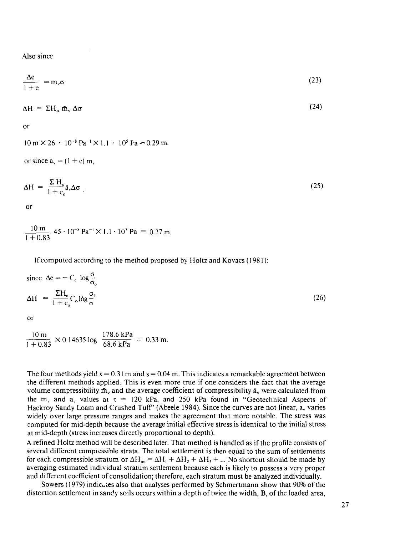Also since

$$
\frac{\Delta e}{1 + e} = m_v \sigma \tag{23}
$$

$$
\Delta H = \Sigma H_o \bar{m}_v \Delta \sigma \tag{24}
$$

$$
\mathsf{or}\quad
$$

 $10 \text{ m} \times 26 \cdot 10^{-8} \text{ Pa}^{-1} \times 1.1 \cdot 10^{5} \text{ Pa} = 0.29 \text{ m}.$ 

or since  $a_y = (1 + e) m_y$ 

$$
\Delta H = \frac{\Sigma H_o}{1 + e_o} \tilde{a}_v \Delta \sigma
$$
 (25)

or

$$
\frac{10 \text{ m}}{1+0.83} \cdot 45 \cdot 10^{-8} \text{ Pa}^{-1} \times 1.1 \cdot 10^{5} \text{ Pa} = 0.27 \text{ m}.
$$

If computed according to the method proposed by Holtz and Kovacs (1981):

since 
$$
\Delta e = -C_c \log \frac{\sigma}{\sigma_o}
$$
  
\n
$$
\Delta H = \frac{\Sigma H_o}{1 + e_o} C_c \log \frac{\sigma_f}{\sigma}
$$
\n(26)

$$
\frac{10 \text{ m}}{1 + 0.83} \times 0.14635 \log \frac{178.6 \text{ kPa}}{68.6 \text{ kPa}} = 0.33 \text{ m}.
$$

The four methods yield  $\bar{x} = 0.31$  m and  $s = 0.04$  m. This indicates a remarkable agreement between the different methods applied. This is even more true if one considers the fact that the average volume compressibility  $\bar{m}_v$  and the average coefficient of compressibility  $\bar{a}_v$  were calculated from the m<sub>v</sub> and a<sub>v</sub> values at  $\tau = 120$  kPa, and 250 kPa found in "Geotechnical Aspects of Hackroy Sandy Loam and Crushed Tuff' (Abeele 1984). Since the curves are not linear, a, varies widely over large pressure ranges and makes the agreement that more notable. The stress was computed for mid-depth because the average initial effective stress is identical to the initial stress at mid-depth (stress increases directly proportional to depth).

A refined Holtz method will be described later. That method is handled as if the profile consists of several different compressible strata. The total settlement is then equal to the sum of settlements for each compressible stratum or  $\Delta H_{\text{tot}} = \Delta H_1 + \Delta H_2 + \Delta H_3 + ...$  No shortcut should be made by averaging estimated individual stratum settlement because each is likely to possess a very proper and different coefficient of consolidation; therefore, each stratum must be analyzed individually.

Sowers (1979) indicates also that analyses performed by Schmertmann show that 90% of the distortion settlement in sandy soils occurs within a depth of twice the width, B, of the loaded area,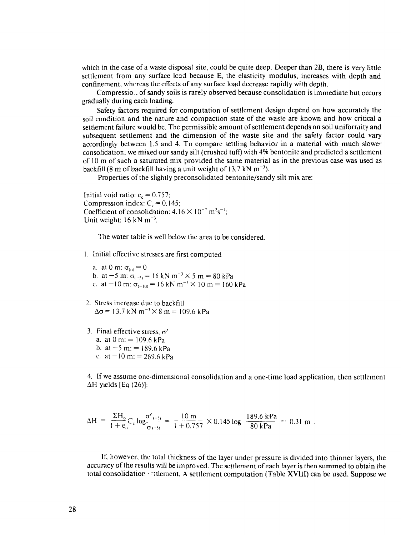which in the case of a waste disposal site, could be quite deep. Deeper than 2B, there is very little settlement from any surface load because E, the elasticity modulus, increases with depth and confinement, whereas the effects of any surface load decrease rapidly with depth.

Compressio.. of sandy soils is rarely observed because consolidation is immediate but occurs gradually during each loading.

Safety factors required for computation of settlement design depend on how accurately the soil condition and the nature and compaction state of the waste are known and how critical a settlement failure would be. The permissible amount of settlement depends on soil uniformity and subsequent settlement and the dimension of the waste site and the safety factor could vary accordingly between 1.5 and 4. To compare settling behavior in a material with much slower consolidation, we mixed our sandy silt (crushed tuff) with 4% bentonite and predicted a settlement of 10 m of such a saturated mix provided the same material as in the previous case was used as backfill (8 m of backfill having a unit weight of 13.7 kN  $m^{-3}$ ).

Properties of the slightly preconsolidated bentonite/sandy silt mix are:

Initial void ratio:  $e_0 = 0.757$ ; Compression index:  $C_c = 0.145$ ; Coefficient of consolidation:  $4.16 \times 10^{-7}$  m<sup>2</sup>s<sup>-1</sup>; Unit weight:  $16$  kN m<sup>-3</sup>.

The water table is well below the area to be considered.

- 1. Initial effective stresses are first computed
	- a. at 0 m:  $\sigma_{(0)} = 0$ b. at  $-5$  m:  $\sigma_{(-5)} = 16$  kN m<sup>-3</sup>  $\times$  5 m = 80 kPa c. at  $-10$  m:  $\sigma_{(-10)} = 16$  kN m<sup>-3</sup> × 10 m = 160 kPa
- 2. Stress increase due to backfill  $\Delta\sigma$  = 13.7 kN m<sup>-3</sup>  $\times$  8 m = 109.6 kPa
- 3. Final effective stress,  $\sigma'$ a. at  $0 \text{ m}$ : = 109.6 kPa b. at  $-5$  m:  $= 189.6$  kPa c. at  $-10$  m: = 269.6 kPa

4. If we assume one-dimensional consolidation and a one-time load application, then settlement AH yields [Eq (26)]:

$$
\Delta H = \frac{\Sigma H_o}{1 + e_o} C_c \log \frac{\sigma'_{(-5)}}{\sigma_{(-5)}} = \frac{10 \text{ m}}{1 + 0.757} \times 0.145 \log \frac{189.6 \text{ kPa}}{80 \text{ kPa}} = 0.31 \text{ m}.
$$

If, however, the total thickness of the layer under pressure is divided into thinner layers, the accuracy of the results will be improved. The settlement of each layer is then summed to obtain the total consolidation  $\cdot$  at the ment. A settlement computation (Table XVIII) can be used. Suppose we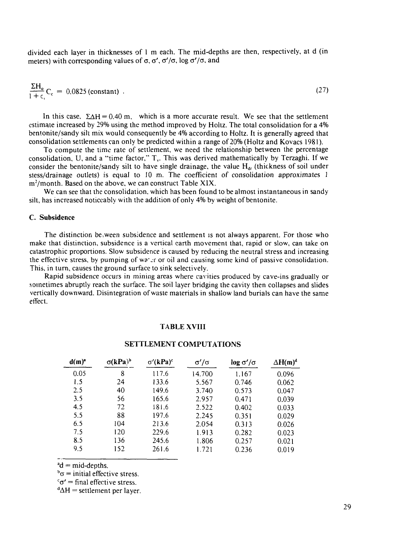divided each layer in thicknesses of 1 m each. The mid-depths are then, respectively, at d (in meters) with corresponding values of  $\sigma$ ,  $\sigma'$ ,  $\sigma'$ / $\sigma$ , log  $\sigma'$ / $\sigma$ , and

$$
\frac{\Sigma H_o}{1 + c_c} C_c = 0.0825 \text{ (constant)} \tag{27}
$$

In this case,  $\Sigma \Delta H = 0.40$  m, which is a more accurate result. We see that the settlement estimate increased by 29% using the method improved by Holtz. The total consolidation for a 4% bentonite/sandy silt mix would consequently be 4% according to Holtz. It is generally agreed that consolidation settlements can only be predicted within a range of 20% (Holtz and Kovacs 1981).

To compute the time rate of settlement, we need the relationship between the percentage consolidation, U, and a "time factor,"  $T_v$ . This was derived mathematically by Terzaghi. If we consider the bentonite/sandy silt to have single drainage, the value  $H_{dr}$  (thickness of soil under stess/drainage outlets) is equal to 10 m. The coefficient of consolidation approximates 1  $m<sup>2</sup>/month$ . Based on the above, we can construct Table XIX.

We can see that the consolidation, which has been found to be almost instantaneous in sandy silt, has increased noticeably with the addition of only 4% by weight of bentonite.

#### **C. Subsidence**

The distinction be .ween subsidence and settlement is not always apparent. For those who make that distinction, subsidence is a vertical earth movement that, rapid or slow, can take on catastrophic proportions. Slow subsidence is caused by reducing the neutral stress and increasing the effective stress, by pumping of wa'.r or oil and causing some kind of passive consolidation. This, in turn, causes the ground surface to sink selectively.

Rapid subsidence occurs in mining areas where cavities produced by cave-ins gradually or sometimes abruptly reach the surface. The soil layer bridging the cavity then collapses and slides vertically downward. Disintegration of waste materials in shallow land burials can have the same effect.

#### **TABLE XVIII**

| $d(m)^{a}$ | $\sigma(kPa)^b$ | $\sigma'(\mathbf{kPa})^c$ | σ'/σ   | $\log \sigma'/\sigma$ | $\Delta H(m)^d$ |
|------------|-----------------|---------------------------|--------|-----------------------|-----------------|
| 0.05       | 8               | 117.6                     | 14.700 | 1.167                 | 0.096           |
| 1.5        | 24              | 133.6                     | 5.567  | 0.746                 | 0.062           |
| 2.5        | 40              | 149.6                     | 3.740  | 0.573                 | 0.047           |
| 3.5        | 56              | 165.6                     | 2.957  | 0.471                 | 0.039           |
| 4.5        | 72              | 181.6                     | 2.522  | 0.402                 | 0.033           |
| 5.5        | 88              | 197.6                     | 2.245  | 0.351                 | 0.029           |
| 6.5        | 104             | 213.6                     | 2.054  | 0.313                 | 0.026           |
| 7.5        | 120             | 229.6                     | 1.913  | 0.282                 | 0.023           |
| 8.5        | 136             | 245.6                     | 1.806  | 0.257                 | 0.021           |
| 9.5        | 152             | 261.6                     | 1.721  | 0.236                 | 0.019           |

#### **SETTLEMENT COMPUTATIONS**

 $^{a}d$  = mid-depths.

 $b_{\sigma}$  = initial effective stress.

 $c \sigma' = \text{final effective stress}.$ 

 $\mathrm{d}\Delta H$  = settlement per layer.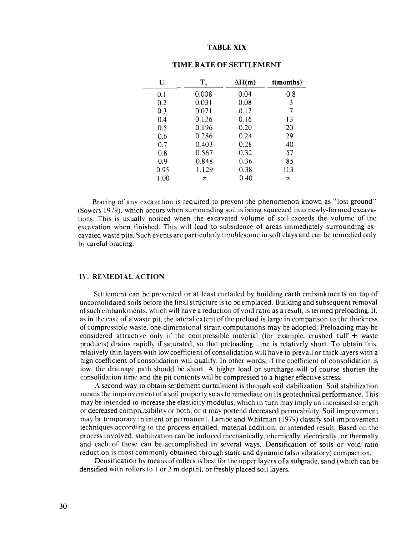#### **TABLE XIX**

| U    | T,        | $\Delta H(m)$ | t(months) |
|------|-----------|---------------|-----------|
| 0.1  | 0.008     | 0.04          | 0.8       |
| 0.2  | 0.031     | 0.08          | 3         |
| 0.3  | 0.071     | 0.12          | 7         |
| 0.4  | 0.126     | 0.16          | 13        |
| 0.5  | 0.196     | 0.20          | 20        |
| 0.6  | 0.286     | 0.24          | 29        |
| 0.7  | 0.403     | 0.28          | 40        |
| 0.8  | 0.567     | 0.32          | 57        |
| 0.9  | 0.848     | 0.36          | 85        |
| 0.95 | 1.129     | 0.38          | 113       |
| 1.00 | $\propto$ | 0.40          | $\propto$ |

### **TIME RATE OF SETTLEMENT**

Bracing of any excavation is required to prevent the phenomenon known as "lost ground" (Sowers 1979), which occurs when surrounding soil is being squeezed into newly-formed excavations. This is usually noticed when the excavated volume of soil exceeds the volume of the excavation when finished. This will lead to subsidence of areas immediately surrounding excavated waste pits. Such events are particularly troublesome in soft clays and can be remedied only by careful bracing.

#### **IV. REMEDIAL ACTION**

Settlement can be prevented or at least curtailed by building earth embankments on top of unconsolidated soils before the final structure is to be emplaced. Building and subsequent removal of such embankments, which will have a reduction of void ratio as a result, is termed preloading. If, as in the case of a waste pit, the lateral extent of the preload is large in comparison to the thickness of compressible waste, one-dimensional strain computations may be adopted. Preloading may be considered attractive only if the compressible material (for example, crushed tuff  $+$  waste products) drains rapidly if saturated, so that preloading ..me is relatively short. To obtain this, relatively thin layers with low coefficient of consolidation will have to prevail or thick layers with a high coefficient of consolidation will qualify. In other words, if the coefficient of consolidation is low, the drainage path should be short. A higher load or surcharge will of course shorten the consolidation time and the pit contents will be compressed to a higher effective stress.

A second way to obtain settlement curtailment is through soil stabilization. Soil stabilization means the improvement of a soil property so as to remediate on its geotechnical performance. This may be intended to increase the elasticity modulus, which in turn may imply an increased strength or decreased compressibility or both, or it may portend decreased permeability. Soil improvement may be temporary in intent or permanent. Lambe and Whitman (1979) classify soil improvement techniques according to the process entailed, material addition, or intended result. Based on the process involved, stabilization can be induced mechanically, chemically, electrically, or thermally and each of these can be accomplished in several ways. Densification of soils or void ratio reduction is most commonly obtained through static and dynamic (also vibratory) compaction.

Densification by means of rollers is best for the upper layers of a subgrade, sand (which can be densified with rollers to 1 or 2 m depth), or freshly placed soil layers.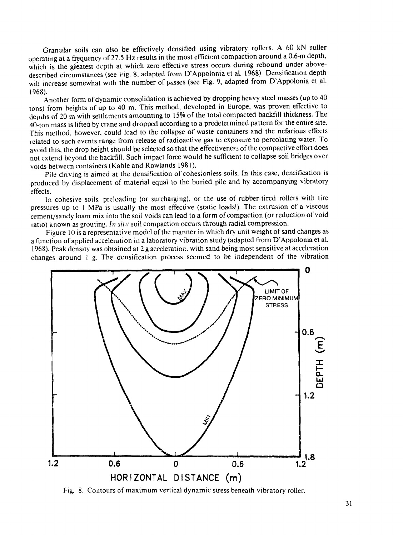Granular soils can also be effectively densified using vibratory rollers. A 60 kN roller operating at a frequency of 27.5 Hz results in the most efficient compaction around a 0.6-m depth, which is the greatest depth at which zero effective stress occurs during rebound under abovedescribed circumstances (see Fig. 8, adapted from D'Appolonia et al. 1968) Densification depth will increase somewhat with the number of passes (see Fig. 9, adapted from D'Appolonia et al. 1968).

Another form of dynamic consolidation is achieved by dropping heavy steel masses (up to 40 tons) from heights of up to 40 m. This method, developed in Europe, was proven effective to depths of 20 m with settlements amounting to 15% of the total compacted backfill thickness. The 40-ton mass is lifted by crane and dropped according to a predetermined pattern for the entire site. This method, however, could lead to the collapse of waste containers and the nefarious effects related to such events range from release of radioactive gas to exposure to percolating water. To avoid this, the drop height should be selected so that the effectiveness of the compactive effort does not extend beyond the backfill. Such impact force would be sufficient to collapse soii bridges over voids between containers (Kahle and Rowlands 1981).

Pile driving is aimed at the densification of cohesionless soils. In this case, densification is produced by displacement of material equal to the buried pile and by accompanying vibratory effects.

In cohesive soils, preloading (or surcharging), or the use of rubber-tired rollers with tire pressures up to 1 MPa is usually the most effective (static loads!). The extrusion of a viscous cement/sandy loam mix into the soil voids can lead to a form of compaction (or reduction of void ratio) known as grouting. *In situ* soil compaction occurs through radial compression.

Figure 10 is a representative model of the manner in which dry unit weight of sand changes as a function of applied acceleration in a laboratory vibration study (adapted from D'Appolonia et al. 1968). Peak density was obtained at 2 g acceleration, with sand being most sensitive at acceleration changes around  $l$  g. The densification process seemed to be independent of the vibration

![](_page_31_Figure_5.jpeg)

Fig. 8. Contours of maximum vertical dynamic stress beneath vibratory roller.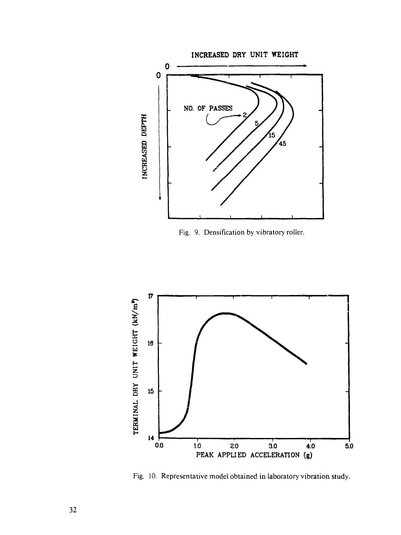![](_page_32_Figure_0.jpeg)

Fig. 9. Densification by vibratory roller.

![](_page_32_Figure_2.jpeg)

Fig. 10. Representative model obtained in laboratory vibration study.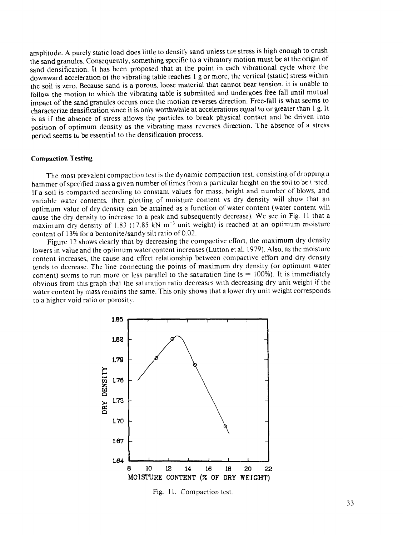amplitude. A purely static load does little to densify sand unless the stress is high enough to crush the sand granules. Consequently, something specific to a vibratory motion must be at the origin of sand densification. It has been proposed that at the point in each vibrational cycle where the downward acceleration ot the vibrating table reaches 1 g or more, the vertical (static) stress within the soil is zero. Because sand is a porous, loose material that cannot bear tension, it is unable to follow the motion to which the vibrating table is submitted and undergoes free fall until mutual impact of the sand granules occurs once the motion reverses direction. Free-fall is what seems to characterize densification since it is only worthwhile at accelerations equal to or greater than 1 g. It is as if the absence of stress allows the particles to break physical contact and be driven into position of optimum density as the vibrating mass reverses direction. The absence of a stress period seems to be essential to the densification process.

#### Compaction Testing

The most prevalent compaction test is the dynamic compaction test, consisting of dropping a hammer of specified mass a given number of times from a particular height on the soil to be tasted. If a soil is compacted according to constant values for mass, height and number of blows, and variable water contents, then plotting of moisture content vs dry density will show that an optimum value of dry density can be attained as a function of water content (water content will cause the dry density to increase to a peak and subsequently decrease). We see in Fig. 11 that a maximum dry density of 1.83 (17.85 kN  $m^{-3}$  unit weight) is reached at an optimum moisture content of 13% for a bentonite/sandy silt ratio of 0.02.

Figure 12 shows clearly that by decreasing the compactive effort, the maximum dry density lowers in value and the optimum water content increases (Lutton et al. 1979). Also, as the moisture content increases, the cause and effect relationship between compactive effort and dry density tends to decrease. The line connecting the points of maximum dry density (or optimum water content) seems to run more or less parallel to the saturation line ( $s = 100\%$ ). It is immediately obvious from this graph that the saturation ratio decreases with decreasing dry unit weight if the water content by mass remains the same. This only shows that a lower dry unit weight corresponds to a higher void ratio or porosity.

![](_page_33_Figure_4.jpeg)

Fig. 11. Compaction test.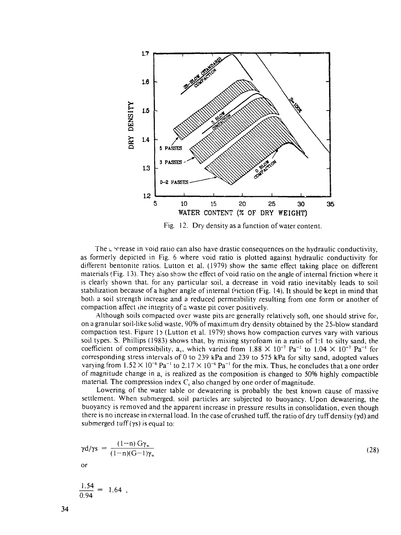![](_page_34_Figure_0.jpeg)

Fig. 12. Dry density as a function of water content.

The  $\zeta$  orrease in void ratio can also have drastic consequences on the hydraulic conductivity, as formerly depicted in Fig. 6 where void ratio is plotted against hydraulic conductivity for different bentonite ratios. Lutton et al. (1979) show the same effect taking place on different materials (Fig. 13). They aiso show the effect of void ratio on the angle of internal friction where it is clearly shown that, for any particular soil, a decrease in void ratio inevitably leads to soil stabilization because of a higher angle of internal friction (Fig. 14). It should be kept in mind that both a soil strength increase and a reduced permeability resulting from one form or another of compaction affect ihe integrity of a waste pit cover positively.

Although soils compacted over waste pits are generally relatively soft, one should strive for, on a granular soil-like solid waste, 90% of maximum dry density obtained by the 25-blow standard compaction test. Figure 13 (Lutton et al. 1979) shows how compaction curves vary with various soil types. S. Phillips (1983) shows that, by mixing styrofoam in a ratio of 1:1 to silty sand, the coefficient of compressibility,  $a_v$ , which varied from  $1.88 \times 10^{-7}$  Pa<sup>-1</sup> to  $1.04 \times 10^{-7}$  Pa<sup>-1</sup> for corresponding stress intervals of 0 to 239 kPa and 239 to 575 kPa for silty sand, adopted values varying from  $1.52 \times 10^{-6}$  Pa<sup>-1</sup> to  $2.17 \times 10^{-6}$  Pa<sup>-1</sup> for the mix. Thus, he concludes that a one order of magnitude change in  $a<sub>x</sub>$  is realized as the composition is changed to 50% highly compactible material. The compression index  $C_c$  also changed by one order of magnitude.

Lowering of the water table or dewatering is probably the best known cause of massive settlement. When submerged, soil particles are subjected to buoyancy. Upon dewatering, the buoyancy is removed and the apparent increase in pressure results in consolidation, even though there is no increase in external load. In the case of crushed tuff, the ratio of dry tuff density (yd) and submerged tuff  $(ys)$  is equal to:

$$
\gamma d/\gamma s = \frac{(1-n) G \gamma_w}{(1-n)(G-1)\gamma_w} \tag{28}
$$

$$
\frac{1.54}{0.94} = 1.64
$$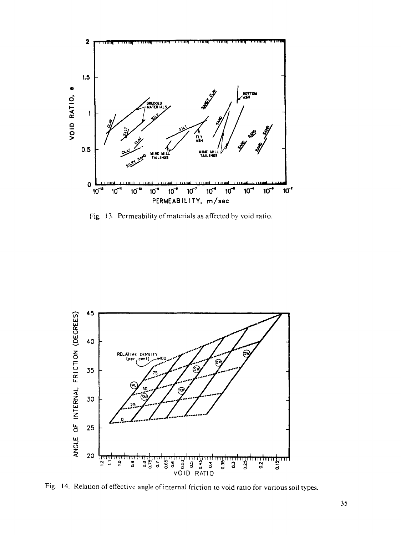![](_page_35_Figure_0.jpeg)

Fig. 13. Permeability of materials as affected by void ratio.

![](_page_35_Figure_2.jpeg)

Fig. 14. Relation of effective angle of internal friction to void ratio for various soil types.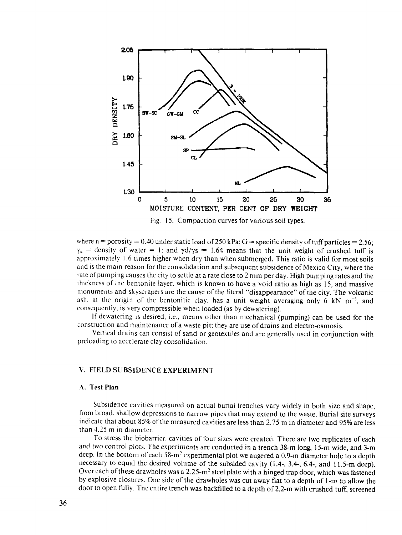![](_page_36_Figure_0.jpeg)

Fig. 15. Compaction curves for various soil types.

where  $n =$  porosity = 0.40 under static load of 250 kPa;  $G =$  specific density of tuff particles = 2.56;  $y_{\mu}$  = density of water = 1; and  $\gamma d/\gamma s = 1.64$  means that the unit weight of crushed tuff is approximately 1.6 times higher when dry than when submerged. This ratio is valid for most soils and is the main reason for the consolidation and subsequent subsidence of Mexico City, where the rate of pumping causes the city to settle at a rate close to 2 mm per day. High pumping rates and the thickness of ine bentonite layer, which is known to have a void ratio as high as 15, and massive monuments and skyscrapers are the cause of the literal "disappearance" of the city. The volcanic ash. at the origin of the bentonitic clay, has a unit weight averaging only 6 kN  $m^{-3}$ , and consequently, is very compressible when loaded (as by dewatering).

If dcwatering is desired, i.e., means other than mechanical (pumping) can be used for the construction and maintenance of a waste pit; they are use of drains and electro-osmosis.

Vertical drains can consist of sand or geotextiles and are generally used in conjunction with preloading to accelerate clay consolidation.

### V. FIELD SUBSIDENCE EXPERIMENT

#### A. Test Plan

Subsidence cavities measured on actual burial trenches vary widely in both size and shape, from broad, shallow depressions to narrow pipes that may extend to the waste. Burial site surveys indicate that about 85% of the measured cavities are less than 2.75 m in diameter and 95% are less than 4.25 m in diameter.

To stress the biobarrier, cavities of four sizes were created. There are two replicates of each and two control plots. The experiments are conducted in a trench 38-m long, 15-m wide, and 3-m deep. In the bottom of each 58-m<sup>2</sup> experimental plot we augered a 0.9-m diameter hole to a depth necessary to equal the desired volume of the subsided cavity (1.4-, 3.4-, 6.4-, and 11.5-m deep). Over each of these drawholes was a 2.25- $m^2$  steel plate with a hinged trap door, which was fastened by explosive closures. One side of the drawholes was cut away flat to a depth of 1-m to allow the door to open fully. The entire trench was backfilled to a depth of 2.2-m with crushed tuff, screened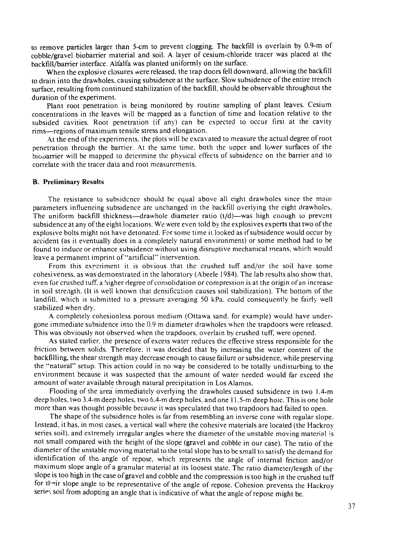to remove particles larger than 5-cm to prevent clogging. The backfill is overlain by 0.9-m of cobble/gravel biobarrier material and soil. A layer of cesium-chloride tracer was placed at the backfill/barrier interface. Alfalfa was planted uniformly on the surface.

When the explosive closures were released, the trap doors fell downward, allowing the backfill to drain into the drawholes, causing subsidence at the surface. Slow subsidence of the entire trench surface, resulting from continued stabilization of the backfill, should be observable throughout the duration of the experiment.

Plant root penetration is being monitored by routine sampling of plant leaves. Cesium concentrations in the leaves will be mapped as a function of time and location relative to the subsided cavities. Root penetration (if any) can be expected to occur first at the cavity rims—regions of maximum tensile stress and elongation.

At the end of the experiments, the plots will be excavated to measure the actual degree of root penetration through the barrier. At the same time, both the upper and lower surfaces of the biouarrier will be mapped to determine the physical effects of subsidence on the barrier and to correlate with the tracer data and root measurements.

#### B. Preliminary Results

The resistance to subsidence should be equal above all eight drawholes since the main parameters influencing subsidence are unchanged in the backfill overlying the eight drawholes. The uniform backfill thickness—drawhole diameter ratio (t/d)—was high enough 10 prevent subsidence at any of the eight locations. We were even told by the explosives experts that two of the explosive bolts might not have detonated. For some time it locked as if subsidence would occur by accident (as it eventually does in a completely natural environment) or some method had to be found to induce or enhance subsidence without using disruptive mechanical means, which would leave a permanent imprint of "artificial" intervention.

From this experiment it is obvious that the crushed tuff and/or the soil have some cohesiveness. as was demonstrated in the laboratory (Abeele 1984). The lab results also show that, even for crushed tuff, a higher degree of consolidation or compression is at the origin of an increase in soil strength. (It is well known that densification causes soil stabilization). The bottom of the landfill, which is submitted to a pressure averaging 50 kPa, could consequently be fairly well stabilized when dry.

A completely cohesionless porous medium (Ottawa sand, for example) would have undergone immediate subsidence into the 0.9 m diameter drawholes when the trapdoors were released. This was obviously not observed when the trapdoors, overlain by crushed tuff, were opened.

As stated earlier, the presence of excess water reduces the effective stress responsible for the friction between solids. Therefore, it was decided that by increasing the water content of the backfilling, the shear strength may decrease enough to cause failure or subsidence, while preserving the "natural" setup. This action could in no way be considered to be totally undisturbing to the environment because it was suspected that the amount of water needed would far exceed the amount of water available through natural precipitation in Los Alamos.

Flooding of the area immediately overlying the drawholes caused subsidence in two 1.4-m deep holes, two 3.4-m deep holes, two 6.4-m deep holes, and one 11.5-m deep hole. This is one hole more than was thought possible because it was speculated that two trapdoors had failed to open.

The shape of the subsidence holes is far from resembling an inverse cone with regular slope. Instead, it has, in most cases, a vertical wall where the cohesive materials are located (the Hackroy series soil), and extremely irregular angles where the diameter of the unstable moving material is not small compared with the height of the slope (gravel and cobble in our case). The ratio of the diameter of the unstable moving material to the total slope has to be small to satisfy the demand for identification of the. angle of repose, which represents the angle of internal friction and/or maximum slope angle of a granular material at its loosest state. The ratio diameter/length of the slope is too high in the case of gravel and cobble and the compression is too high in the crushed tuff for their slope angle to be representative of the angle of repose. Cohesion prevents the Hackroy series soil from adopting an angle that is indicative of what the angle of repose might be.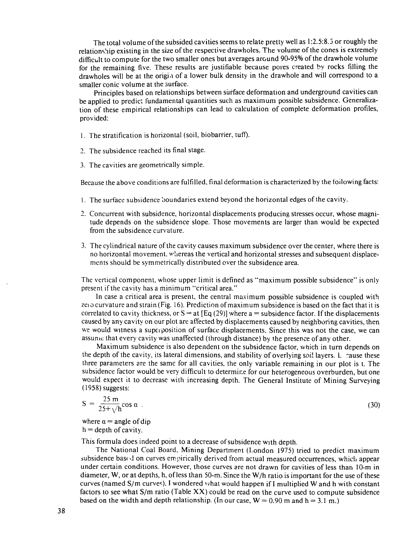The total volume of the subsided cavities seems to relate pretty well as 1:2.5:8.3 or roughly the relationship existing in the size of the respective drawholes. The volume of the cones is extremely difficult to compute for the two smaller ones but averages around 90-95% of the drawhole volume for the remaining five. These results are justifiable because pores created by rocks filling the drawholes will be at the origin of a lower bulk density in the drawhole and will correspond to a smaller conic volume at the surface.

Principles based on relationships between surface deformation and underground cavities can be applied to predict fundamental quantities such as maximum possible subsidence. Generalization of these empirical relationships can lead to calculation of complete deformation profiles, provided:

- 1. The stratification is horizontal (soil, biobarrier, tuff).
- 2. The subsidence reached its final stage.
- 3. The cavities are geometrically simple.

Because the above conditions are fulfilled, final deformation is characterized by the following facts:

- 1. The surface subsidence boundaries extend beyond the horizontal edges of the cavity.
- 2. Concurrent with subsidence, horizontal displacements producing stresses occur, whose magnitude depends on the subsidence slope. Those movements are larger than would be expected from the subsidence curvature.
- 3. The cylindrical nature of the cavity causes maximum subsidence over the center, where there is no horizontal movement, whereas the vertical and horizontal stresses and subsequent displacements should be symmetrically distributed over the subsidence area.

The vertical component, whose upper limit is defined as "maximum possible subsidence" is only present if the cavity has a minimum "critical area."

In case a critical area is present, the central maximum possible subsidence is coupled with zeto curvature and strain (Fig. 16). Prediction of maximum subsidence is based on the fact that it is correlated to cavity thickness, or  $S = at [Eq (29)]$  where a = subsidence factor. If the displacements caused by any cavity on our plot are affected by displacements caused by neighboring cavities, then we would witness a superposition of surface displacements. Since this was not the case, we can assume that every cavity was unaffected (through distance) by the presence of any other.

Maximum subsidence is also dependent on the subsidence factor, which in turn depends on the depth of the cavity, its lateral dimensions, and stability of overlying soil layers. L cause these three parameters are the same for all cavities, the only variable remaining in our plot is t. The subsidence factor would be very difficult to determine for our heterogeneous overburden, but one would expect it to decrease with increasing depth. The General Institute of Mining Surveying (1958) suggests:

$$
S = \frac{25 \text{ m}}{25 + \sqrt{h}} \cos \alpha \text{ .}
$$

 $\sim$  (30)

where  $\alpha$  = angle of dip  $h =$  depth of cavity.

This formula does indeed point to a decrease of subsidence with depth.

The National Coal Board, Mining Department (London 1975) tried to predict maximum subsidence bast *d* on curves empirically derived from actual measured occurrences, which appear under certain conditions. However, those curves are not drawn for cavities of less than 10-m in diameter, W, or at depths, h, of less than 50-m. Since the W/h ratio is important for the use of these curves (named S/m curves), I wondered what would happen if I multiplied W and h with constant factors to see what  $S/m$  ratio (Table  $XX$ ) could be read on the curve used to compute subsidence based on the width and depth relationship. (In our case,  $W = 0.90$  m and h = 3.1 m.)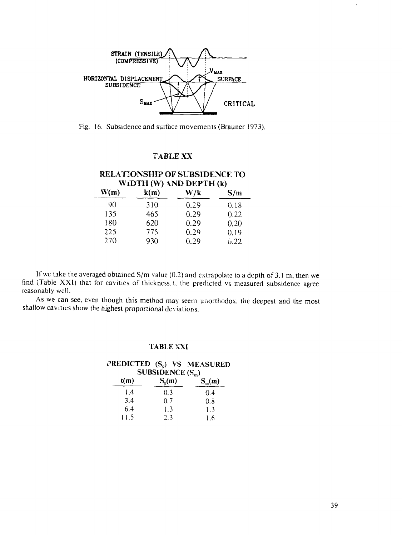![](_page_39_Figure_0.jpeg)

Fig. 16. Subsidence and surface movements (Brauner 1973).

### TABLE XX

#### RELATIONSHIP OF SUBSIDENCE TO WIDTH (W) AND DEPTH (k)<br>W(m)  $k(m)$  W/k W(m) k(m) **W/k** S/m 90 135 180 225 270 310 465 620 775 930 0.29 0.29 0.29 0.29 0.29 0.18 0.22 0.20 0.19 u.22

If we take the averaged obtained  $S/m$  value (0.2) and extrapolate to a depth of 3.1 m, then we

find (Table XXI) that for cavities of thickness, t. the predicted vs measured subsidence agree reasonably well.

As we can see, even though this method may seem unorthodox, the deepest and the most shallow cavities show the highest proportional deviations.

### TABLE XXI

#### PREDICTED  $(S_p)$  VS MEASURED SUBSIDENCE  $(S_n)$

| t(m) | $S_p(m)$ | $S_m(m)$ |
|------|----------|----------|
| l.4  | 0.3      | 0.4      |
| 3.4  | 0.7      | 0.8      |
| 6.4  | 1.3      | 1.3      |
| 11.5 | 2.3      | 1.6      |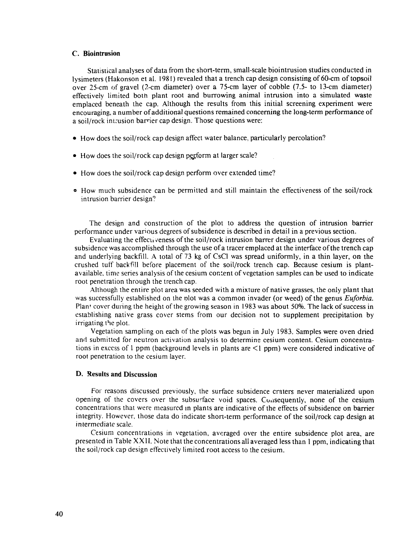#### C. Biointrusion

Statistical analyses of data from the short-term, small-scale biointrusion studies conducted in lysimeters (Hakonson et al. 1981) revealed that a trench cap design consisting of 60-cm of topsoil over 25-cm of gravel (2-cm diameter) over a 75-cm layer of cobble (7.5- to 13-cm diameter) effectively limited both plant root and burrowing animal intrusion into a simulated waste emplaced beneath the cap. Although the results from this initial screening experiment were encouraging, a number of additional questions remained concerning the long-term performance of a soil/rock intrusion barrier cap design. Those questions were:

- How does the soil/rock cap design affect water balance, particularly percolation?
- How does the soil/rock cap design perform at larger scale?
- How does the soil/rock cap design perform over extended time?
- o How much subsidence can be permitted and still maintain the effectiveness of the soil/rock intrusion barrier design?

The design and construction of the plot to address the question of intrusion barrier performance under various degrees of subsidence is described in detail in a previous section.

Evaluating the effecu veness of the soil/rock intrusion barrer design under various degrees of subsidence was accomplished through the use of a tracer emplaced at the interface of the trench cap and underlying backfill. A total of 73 kg of CsCl was spread uniformly, in a thin layer, on the crushed tuff backfill before placement of the soil/rock trench cap. Because cesium is plantavailable, time series analysis of the cesium content of vegetation samples can be used to indicate root penetration through the trench cap.

Although the entire plot area was seeded with a mixture of native grasses, the only plant that was successfully established on the plot was a common invader (or weed) of the genus *Euforbia*. Plant cover during the height of the growing season in 1983 was about 50%. The lack of success in establishing native grass cover stems from our decision not to supplement precipitation by irrigating the plot.

Vegetation sampling on each of the plots was begun in July 1983. Samples were oven dried and submitted for neutron activation analysis to determine cesium content. Cesium concentrations in excess of 1 ppm (background levels in plants are <1 ppm) were considered indicative of root penetration to the cesium layer.

#### D. Results and Discussion

For reasons discussed previously, the surface subsidence craters never materialized upon opening of the covers over the subsurface void spaces. Coasequently, none of the cesium concentrations that were measured in plants are indicative of the effects of subsidence on barrier integrity. However, those data do indicate short-term performance of the soil/rock cap design at intermediate scale.

Cesium concentrations in vegetation, averaged over the entire subsidence plot area, are presented in Table XXII. Note that the concentrations all averaged less than 1 ppm, indicating that the soil/rock cap design effectively limited root access to the cesium.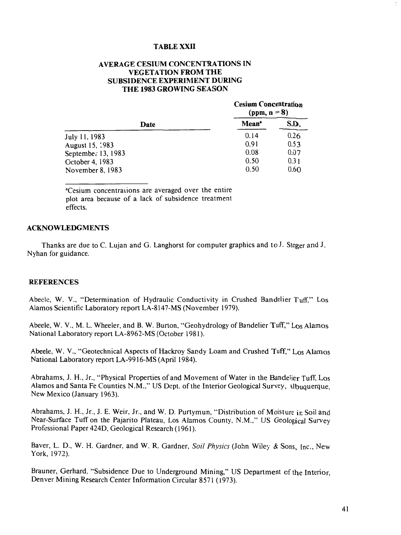### **TABLE XXII**

### **AVERAGE CESIUM CONCENTRATIONS IN VEGETATION FROM THE SUBSIDENCE EXPERIMENT DURING THE 1983 GROWING SEASON**

|                        |                   | <b>Cesium Concentration</b><br>(ppm, $n = 8$ ) |  |  |
|------------------------|-------------------|------------------------------------------------|--|--|
| Date                   | Mean <sup>*</sup> | S.D.                                           |  |  |
| July 11, 1983          | 0.14              | 0.26                                           |  |  |
| August 15, 1983        | 0.91              | 0.53                                           |  |  |
| September 13, $1983$   | 0.08              | 0.07                                           |  |  |
| <b>Cctober 4, 1983</b> | 0.50              | 0.31                                           |  |  |
| November 8, 1983       | 0.50              | 0.6O                                           |  |  |

<sup>a</sup>Cesium concentrations are averaged over the entire plot area because of a lack of subsidence treatment effects.

#### **ACKNOWLEDGMENTS**

Thanks are due to C. Lujan and G. Langhorst for computer graphics and to J. Steger and J. Nyhan for guidance.

#### **REFERENCES**

Abeele, W. V., "Determination of Hydraulic Conductivity in Crushed Bandelier Tuff," Los Alamos Scientific Laboratory report LA-8147-MS (November 1979).

Abeele, W. V., M. L. Wheeler, and B. W. Burton, "Geohydrology of Bandelier Tuff," Los Alamos National Laboratory report LA-8962-MS (October 1981).

Abeele, W. V., "Geotechnical Aspects of Hackroy Sandy Loam and Crushed Tuff," Los Alamos National Laboratory report LA-9916-MS (April 1984).

Abrahams, J. H., Jr., "Physical Properties of and Movement of Water in the Bandelier Tuff, Los Alamos and Santa Fe Counties N.M.," US Dept. of the Interior Geological Survey, \lbuquerque, New Mexico (January 1963).

Abrahams, J. H., Jr., J. E. Weir, Jr., and W. D. Purtymun, "Distribution of Moisture in Soil and Near-Surface Tuff on the Pajarito Plateau, Los Alamos County, N.M.," US Geological Survey Professional Paper 424D, Geological Research (1961).

Baver, L. D., W. H. Gardner, and W. R. Gardner, Soil Physics (John Wiley & Sons, Inc., New York, 1972).

Brauner, Gerhard, "Subsidence Due to Underground Mining," US Department cf the Interior, Denver Mining Research Center Information Circular 8571 (1973).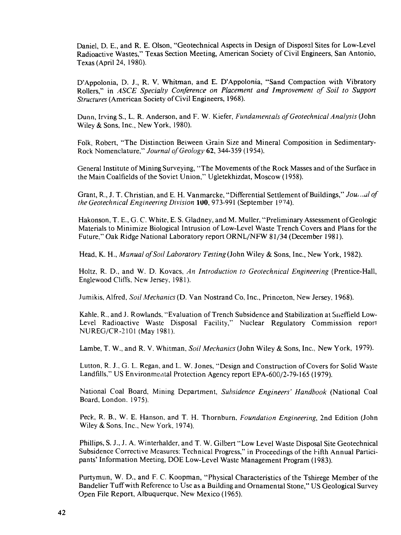Daniel, D. E., and R. E. Olson, "Geotechnical Aspects in Design of Disposal Sites for Low-Level Radioactive Wastes," Texas Section Meeting, American Society of Civil Engineers, San Antonio, Texas (April 24, 1980).

D'Appolonia, D. J., R. V. Whitman, and E. D'Appolonia, "Sand Compaction with Vibratory Rollers," in *ASCE Specialty Conference on Placement and Improvement of Soil to Support Structures* (American Society of Civil Engineers, 1968).

Dunn, Irving S., L. R. Anderson, and F. W. Kiefer, *Fundamentals of Geotechnical Analysis* (John Wiley & Sons, Inc., New York, 1980).

Folk, Robert, "The Distinction Between Grain Size and Mineral Composition in Sedimentary-Rock Nomenclature," *Journal of Geology* 62, 344-359 (1954).

General Institute of Mining Surveying, "The Movements of the Rock Masses and of the Surface in the Main Coalfields of the Soviet Union," Ugletekhizdat, Moscow (1958).

Grant, R., J. T. Christian, and E. H. Vanmarcke, "Differential Settlement of Buildings," *Jou,.,ul of the Geotechnical Engineering Division* 100, 973-991 (September 1974).

Hakonson, T. E., G. C. White, E. S. Gladney, and M. Muller, "Preliminary Assessment of Geologic Materials to Minimize Biological Intrusion of Low-Level Waste Trench Covers and Plans for the Future," Oak Ridge National Laboratory report ORNL/NFW 81/34 (December 1981).

Head, K. H., *Manual of Soil Laboratory Testing* (John Wiley & Sons, Inc., New York, 1982).

Holtz, R. D., and W. D. Kovacs, *An Introduction to Geotechnical Engineering* (Prentice-Hall, Englewood Cliffs, New Jersey, 1981).

Jumikis, Alfred, *Soil Mechanics* (D. Van Nostrand Co, Inc., Princeton, New Jersey, 1968).

Kahle, R., and J. Rowlands, "Evaluation of Trench Subsidence and Stabilization at Sneffield Low-Level Radioactive Waste Disposal Facility," Nuclear Regulatory Commission report NUREG/CR-2101 (May 1981).

Lambe, T. W., and R. V. Whitman, *Soil Mechanics* (John Wiley & Sons, Inc., New York, 1979).

Lutton, R. J., G. L. Regan, and L. W. Jones, "Design and Construction of Covers for Solid Waste Landfills," US Environmental Protection Agency report EPA-600/2-79-165 (1979).

National Coal Board, Mining Department, *Subsidence Engineers' Handbook* (National Coal Board, London. 1975).

Peck, R. B., W. E. Hanson, and T. H. Thornburn, *Foundation Engineering,* 2nd Edition (John Wiley & Sons, Inc., New York, 1974).

Phillips, S. J., J. A. Winterhalder, and T. W. Gilbert "Low Level Waste Disposal Site Geotechnical Subsidence Corrective Measures: Technical Progress," in Proceedings of the Fifth Annual Participants' Information Meeting, DOE Low-Level Waste Management Program (1983).

Purtymun, W. D., and F. C. Koopman, "Physical Characteristics of the Tshirege Member of the Bandelier Tuff with Reference to Use as a Building and Ornamental Stone," US Geological Survey Open File Report, Albuquerque, New Mexico (1965).